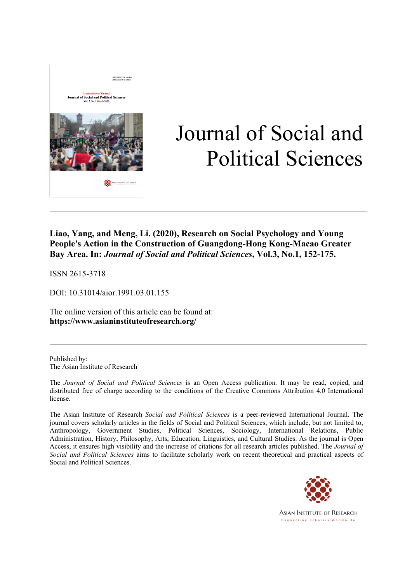

# Journal of Social and Political Sciences

**Liao, Yang, and Meng, Li. (2020), Research on Social Psychology and Young People's Action in the Construction of Guangdong-Hong Kong-Macao Greater Bay Area. In:** *Journal of Social and Political Sciences***, Vol.3, No.1, 152-175.**

ISSN 2615-3718

DOI: 10.31014/aior.1991.03.01.155

The online version of this article can be found at: **https://www.asianinstituteofresearch.org/**

Published by: The Asian Institute of Research

The *Journal of Social and Political Sciences* is an Open Access publication. It may be read, copied, and distributed free of charge according to the conditions of the Creative Commons Attribution 4.0 International license.

The Asian Institute of Research *Social and Political Sciences* is a peer-reviewed International Journal. The journal covers scholarly articles in the fields of Social and Political Sciences, which include, but not limited to, Anthropology, Government Studies, Political Sciences, Sociology, International Relations, Public Administration, History, Philosophy, Arts, Education, Linguistics, and Cultural Studies. As the journal is Open Access, it ensures high visibility and the increase of citations for all research articles published. The *Journal of Social and Political Sciences* aims to facilitate scholarly work on recent theoretical and practical aspects of Social and Political Sciences.



**ASIAN INSTITUTE OF RESEARCH** Connecting Scholars Worldwide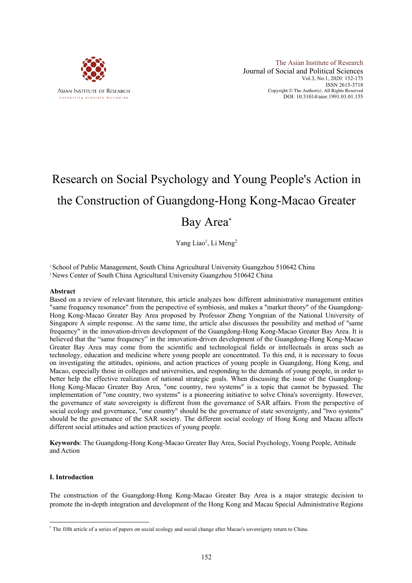

# Research on Social Psychology and Young People's Action in the Construction of Guangdong-Hong Kong-Macao Greater Bay Area\*

Yang Liao<sup>1</sup>, Li Meng<sup>2</sup>

1 School of Public Management, South China Agricultural University Guangzhou 510642 China 2News Center of South China Agricultural University Guangzhou 510642 China

#### **Abstract**

Based on a review of relevant literature, this article analyzes how different administrative management entities "same frequency resonance" from the perspective of symbiosis, and makes a "market theory" of the Guangdong-Hong Kong-Macao Greater Bay Area proposed by Professor Zheng Yongnian of the National University of Singapore A simple response. At the same time, the article also discusses the possibility and method of "same frequency" in the innovation-driven development of the Guangdong-Hong Kong-Macao Greater Bay Area. It is believed that the "same frequency" in the innovation-driven development of the Guangdong-Hong Kong-Macao Greater Bay Area may come from the scientific and technological fields or intellectuals in areas such as technology, education and medicine where young people are concentrated. To this end, it is necessary to focus on investigating the attitudes, opinions, and action practices of young people in Guangdong, Hong Kong, and Macao, especially those in colleges and universities, and responding to the demands of young people, in order to better help the effective realization of national strategic goals. When discussing the issue of the Guangdong-Hong Kong-Macao Greater Bay Area, "one country, two systems" is a topic that cannot be bypassed. The implementation of "one country, two systems" is a pioneering initiative to solve China's sovereignty. However, the governance of state sovereignty is different from the governance of SAR affairs. From the perspective of social ecology and governance, "one country" should be the governance of state sovereignty, and "two systems" should be the governance of the SAR society. The different social ecology of Hong Kong and Macau affects different social attitudes and action practices of young people.

**Keywords**: The Guangdong-Hong Kong-Macao Greater Bay Area, Social Psychology, Young People, Attitude and Action

#### **I. Introduction**

The construction of the Guangdong-Hong Kong-Macao Greater Bay Area is a major strategic decision to promote the in-depth integration and development of the Hong Kong and Macau Special Administrative Regions

<sup>\*</sup> The fifth article of a series of papers on social ecology and social change after Macao's sovereignty return to China.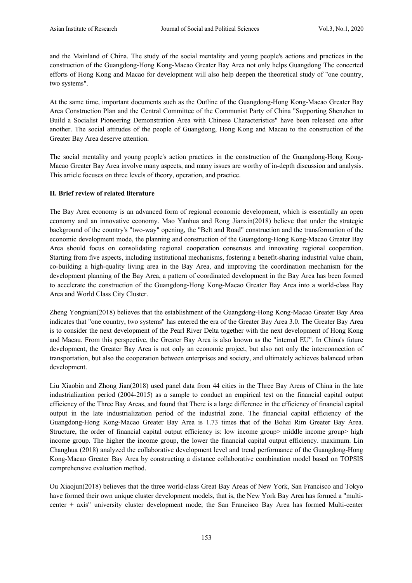and the Mainland of China. The study of the social mentality and young people's actions and practices in the construction of the Guangdong-Hong Kong-Macao Greater Bay Area not only helps Guangdong The concerted efforts of Hong Kong and Macao for development will also help deepen the theoretical study of "one country, two systems".

At the same time, important documents such as the Outline of the Guangdong-Hong Kong-Macao Greater Bay Area Construction Plan and the Central Committee of the Communist Party of China "Supporting Shenzhen to Build a Socialist Pioneering Demonstration Area with Chinese Characteristics" have been released one after another. The social attitudes of the people of Guangdong, Hong Kong and Macau to the construction of the Greater Bay Area deserve attention.

The social mentality and young people's action practices in the construction of the Guangdong-Hong Kong-Macao Greater Bay Area involve many aspects, and many issues are worthy of in-depth discussion and analysis. This article focuses on three levels of theory, operation, and practice.

#### **II. Brief review of related literature**

The Bay Area economy is an advanced form of regional economic development, which is essentially an open economy and an innovative economy. Mao Yanhua and Rong Jianxin(2018) believe that under the strategic background of the country's "two-way" opening, the "Belt and Road" construction and the transformation of the economic development mode, the planning and construction of the Guangdong-Hong Kong-Macao Greater Bay Area should focus on consolidating regional cooperation consensus and innovating regional cooperation. Starting from five aspects, including institutional mechanisms, fostering a benefit-sharing industrial value chain, co-building a high-quality living area in the Bay Area, and improving the coordination mechanism for the development planning of the Bay Area, a pattern of coordinated development in the Bay Area has been formed to accelerate the construction of the Guangdong-Hong Kong-Macao Greater Bay Area into a world-class Bay Area and World Class City Cluster.

Zheng Yongnian(2018) believes that the establishment of the Guangdong-Hong Kong-Macao Greater Bay Area indicates that "one country, two systems" has entered the era of the Greater Bay Area 3.0. The Greater Bay Area is to consider the next development of the Pearl River Delta together with the next development of Hong Kong and Macau. From this perspective, the Greater Bay Area is also known as the "internal EU". In China's future development, the Greater Bay Area is not only an economic project, but also not only the interconnection of transportation, but also the cooperation between enterprises and society, and ultimately achieves balanced urban development.

Liu Xiaobin and Zhong Jian(2018) used panel data from 44 cities in the Three Bay Areas of China in the late industrialization period (2004-2015) as a sample to conduct an empirical test on the financial capital output efficiency of the Three Bay Areas, and found that There is a large difference in the efficiency of financial capital output in the late industrialization period of the industrial zone. The financial capital efficiency of the Guangdong-Hong Kong-Macao Greater Bay Area is 1.73 times that of the Bohai Rim Greater Bay Area. Structure, the order of financial capital output efficiency is: low income group> middle income group> high income group. The higher the income group, the lower the financial capital output efficiency. maximum. Lin Changhua (2018) analyzed the collaborative development level and trend performance of the Guangdong-Hong Kong-Macao Greater Bay Area by constructing a distance collaborative combination model based on TOPSIS comprehensive evaluation method.

Ou Xiaojun(2018) believes that the three world-class Great Bay Areas of New York, San Francisco and Tokyo have formed their own unique cluster development models, that is, the New York Bay Area has formed a "multicenter + axis" university cluster development mode; the San Francisco Bay Area has formed Multi-center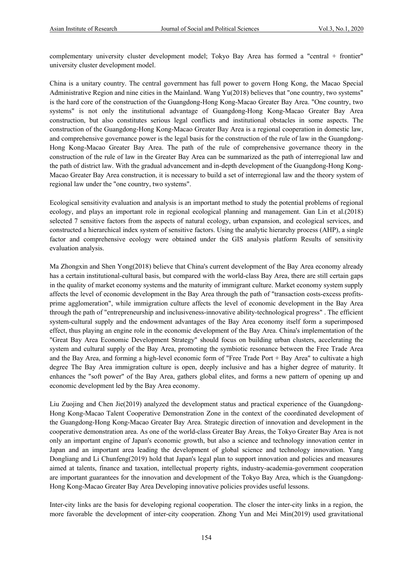complementary university cluster development model; Tokyo Bay Area has formed a "central + frontier" university cluster development model.

China is a unitary country. The central government has full power to govern Hong Kong, the Macao Special Administrative Region and nine cities in the Mainland. Wang Yu(2018) believes that "one country, two systems" is the hard core of the construction of the Guangdong-Hong Kong-Macao Greater Bay Area. "One country, two systems" is not only the institutional advantage of Guangdong-Hong Kong-Macao Greater Bay Area construction, but also constitutes serious legal conflicts and institutional obstacles in some aspects. The construction of the Guangdong-Hong Kong-Macao Greater Bay Area is a regional cooperation in domestic law, and comprehensive governance power is the legal basis for the construction of the rule of law in the Guangdong-Hong Kong-Macao Greater Bay Area. The path of the rule of comprehensive governance theory in the construction of the rule of law in the Greater Bay Area can be summarized as the path of interregional law and the path of district law. With the gradual advancement and in-depth development of the Guangdong-Hong Kong-Macao Greater Bay Area construction, it is necessary to build a set of interregional law and the theory system of regional law under the "one country, two systems".

Ecological sensitivity evaluation and analysis is an important method to study the potential problems of regional ecology, and plays an important role in regional ecological planning and management. Gan Lin et al.(2018) selected 7 sensitive factors from the aspects of natural ecology, urban expansion, and ecological services, and constructed a hierarchical index system of sensitive factors. Using the analytic hierarchy process (AHP), a single factor and comprehensive ecology were obtained under the GIS analysis platform Results of sensitivity evaluation analysis.

Ma Zhongxin and Shen Yong(2018) believe that China's current development of the Bay Area economy already has a certain institutional-cultural basis, but compared with the world-class Bay Area, there are still certain gaps in the quality of market economy systems and the maturity of immigrant culture. Market economy system supply affects the level of economic development in the Bay Area through the path of "transaction costs-excess profitsprime agglomeration", while immigration culture affects the level of economic development in the Bay Area through the path of "entrepreneurship and inclusiveness-innovative ability-technological progress" . The efficient system-cultural supply and the endowment advantages of the Bay Area economy itself form a superimposed effect, thus playing an engine role in the economic development of the Bay Area. China's implementation of the "Great Bay Area Economic Development Strategy" should focus on building urban clusters, accelerating the system and cultural supply of the Bay Area, promoting the symbiotic resonance between the Free Trade Area and the Bay Area, and forming a high-level economic form of "Free Trade Port + Bay Area" to cultivate a high degree The Bay Area immigration culture is open, deeply inclusive and has a higher degree of maturity. It enhances the "soft power" of the Bay Area, gathers global elites, and forms a new pattern of opening up and economic development led by the Bay Area economy.

Liu Zuojing and Chen Jie(2019) analyzed the development status and practical experience of the Guangdong-Hong Kong-Macao Talent Cooperative Demonstration Zone in the context of the coordinated development of the Guangdong-Hong Kong-Macao Greater Bay Area. Strategic direction of innovation and development in the cooperative demonstration area. As one of the world-class Greater Bay Areas, the Tokyo Greater Bay Area is not only an important engine of Japan's economic growth, but also a science and technology innovation center in Japan and an important area leading the development of global science and technology innovation. Yang Dongliang and Li Chunfeng(2019) hold that Japan's legal plan to support innovation and policies and measures aimed at talents, finance and taxation, intellectual property rights, industry-academia-government cooperation are important guarantees for the innovation and development of the Tokyo Bay Area, which is the Guangdong-Hong Kong-Macao Greater Bay Area Developing innovative policies provides useful lessons.

Inter-city links are the basis for developing regional cooperation. The closer the inter-city links in a region, the more favorable the development of inter-city cooperation. Zhong Yun and Mei Min(2019) used gravitational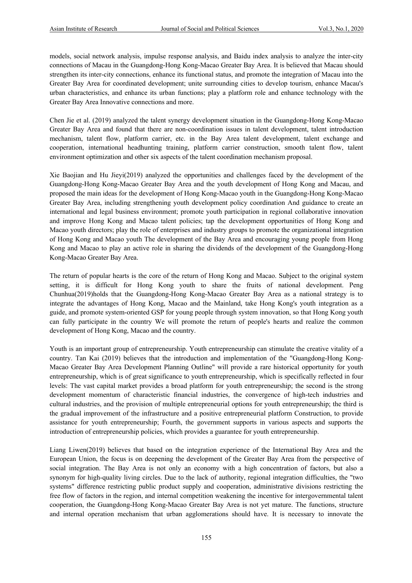models, social network analysis, impulse response analysis, and Baidu index analysis to analyze the inter-city connections of Macau in the Guangdong-Hong Kong-Macao Greater Bay Area. It is believed that Macau should strengthen its inter-city connections, enhance its functional status, and promote the integration of Macau into the Greater Bay Area for coordinated development; unite surrounding cities to develop tourism, enhance Macau's urban characteristics, and enhance its urban functions; play a platform role and enhance technology with the Greater Bay Area Innovative connections and more.

Chen Jie et al. (2019) analyzed the talent synergy development situation in the Guangdong-Hong Kong-Macao Greater Bay Area and found that there are non-coordination issues in talent development, talent introduction mechanism, talent flow, platform carrier, etc. in the Bay Area talent development, talent exchange and cooperation, international headhunting training, platform carrier construction, smooth talent flow, talent environment optimization and other six aspects of the talent coordination mechanism proposal.

Xie Baojian and Hu Jieyi(2019) analyzed the opportunities and challenges faced by the development of the Guangdong-Hong Kong-Macao Greater Bay Area and the youth development of Hong Kong and Macau, and proposed the main ideas for the development of Hong Kong-Macao youth in the Guangdong-Hong Kong-Macao Greater Bay Area, including strengthening youth development policy coordination And guidance to create an international and legal business environment; promote youth participation in regional collaborative innovation and improve Hong Kong and Macao talent policies; tap the development opportunities of Hong Kong and Macao youth directors; play the role of enterprises and industry groups to promote the organizational integration of Hong Kong and Macao youth The development of the Bay Area and encouraging young people from Hong Kong and Macao to play an active role in sharing the dividends of the development of the Guangdong-Hong Kong-Macao Greater Bay Area.

The return of popular hearts is the core of the return of Hong Kong and Macao. Subject to the original system setting, it is difficult for Hong Kong youth to share the fruits of national development. Peng Chunhua(2019)holds that the Guangdong-Hong Kong-Macao Greater Bay Area as a national strategy is to integrate the advantages of Hong Kong, Macao and the Mainland, take Hong Kong's youth integration as a guide, and promote system-oriented GSP for young people through system innovation, so that Hong Kong youth can fully participate in the country We will promote the return of people's hearts and realize the common development of Hong Kong, Macao and the country.

Youth is an important group of entrepreneurship. Youth entrepreneurship can stimulate the creative vitality of a country. Tan Kai (2019) believes that the introduction and implementation of the "Guangdong-Hong Kong-Macao Greater Bay Area Development Planning Outline" will provide a rare historical opportunity for youth entrepreneurship, which is of great significance to youth entrepreneurship, which is specifically reflected in four levels: The vast capital market provides a broad platform for youth entrepreneurship; the second is the strong development momentum of characteristic financial industries, the convergence of high-tech industries and cultural industries, and the provision of multiple entrepreneurial options for youth entrepreneurship; the third is the gradual improvement of the infrastructure and a positive entrepreneurial platform Construction, to provide assistance for youth entrepreneurship; Fourth, the government supports in various aspects and supports the introduction of entrepreneurship policies, which provides a guarantee for youth entrepreneurship.

Liang Liwen(2019) believes that based on the integration experience of the International Bay Area and the European Union, the focus is on deepening the development of the Greater Bay Area from the perspective of social integration. The Bay Area is not only an economy with a high concentration of factors, but also a synonym for high-quality living circles. Due to the lack of authority, regional integration difficulties, the "two systems" difference restricting public product supply and cooperation, administrative divisions restricting the free flow of factors in the region, and internal competition weakening the incentive for intergovernmental talent cooperation, the Guangdong-Hong Kong-Macao Greater Bay Area is not yet mature. The functions, structure and internal operation mechanism that urban agglomerations should have. It is necessary to innovate the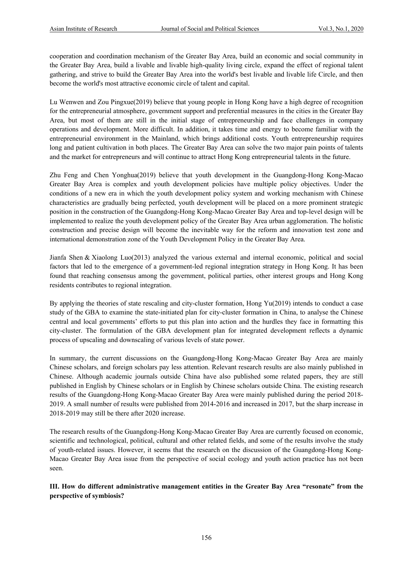cooperation and coordination mechanism of the Greater Bay Area, build an economic and social community in the Greater Bay Area, build a livable and livable high-quality living circle, expand the effect of regional talent gathering, and strive to build the Greater Bay Area into the world's best livable and livable life Circle, and then become the world's most attractive economic circle of talent and capital.

Lu Wenwen and Zou Pingxue(2019) believe that young people in Hong Kong have a high degree of recognition for the entrepreneurial atmosphere, government support and preferential measures in the cities in the Greater Bay Area, but most of them are still in the initial stage of entrepreneurship and face challenges in company operations and development. More difficult. In addition, it takes time and energy to become familiar with the entrepreneurial environment in the Mainland, which brings additional costs. Youth entrepreneurship requires long and patient cultivation in both places. The Greater Bay Area can solve the two major pain points of talents and the market for entrepreneurs and will continue to attract Hong Kong entrepreneurial talents in the future.

Zhu Feng and Chen Yonghua(2019) believe that youth development in the Guangdong-Hong Kong-Macao Greater Bay Area is complex and youth development policies have multiple policy objectives. Under the conditions of a new era in which the youth development policy system and working mechanism with Chinese characteristics are gradually being perfected, youth development will be placed on a more prominent strategic position in the construction of the Guangdong-Hong Kong-Macao Greater Bay Area and top-level design will be implemented to realize the youth development policy of the Greater Bay Area urban agglomeration. The holistic construction and precise design will become the inevitable way for the reform and innovation test zone and international demonstration zone of the Youth Development Policy in the Greater Bay Area.

Jianfa Shen & Xiaolong Luo(2013) analyzed the various external and internal economic, political and social factors that led to the emergence of a government-led regional integration strategy in Hong Kong. It has been found that reaching consensus among the government, political parties, other interest groups and Hong Kong residents contributes to regional integration.

By applying the theories of state rescaling and city-cluster formation, Hong Yu(2019) intends to conduct a case study of the GBA to examine the state-initiated plan for city-cluster formation in China, to analyse the Chinese central and local governments' efforts to put this plan into action and the hurdles they face in formatting this city-cluster. The formulation of the GBA development plan for integrated development reflects a dynamic process of upscaling and downscaling of various levels of state power.

In summary, the current discussions on the Guangdong-Hong Kong-Macao Greater Bay Area are mainly Chinese scholars, and foreign scholars pay less attention. Relevant research results are also mainly published in Chinese. Although academic journals outside China have also published some related papers, they are still published in English by Chinese scholars or in English by Chinese scholars outside China. The existing research results of the Guangdong-Hong Kong-Macao Greater Bay Area were mainly published during the period 2018- 2019. A small number of results were published from 2014-2016 and increased in 2017, but the sharp increase in 2018-2019 may still be there after 2020 increase.

The research results of the Guangdong-Hong Kong-Macao Greater Bay Area are currently focused on economic, scientific and technological, political, cultural and other related fields, and some of the results involve the study of youth-related issues. However, it seems that the research on the discussion of the Guangdong-Hong Kong-Macao Greater Bay Area issue from the perspective of social ecology and youth action practice has not been seen.

**III. How do different administrative management entities in the Greater Bay Area "resonate" from the perspective of symbiosis?**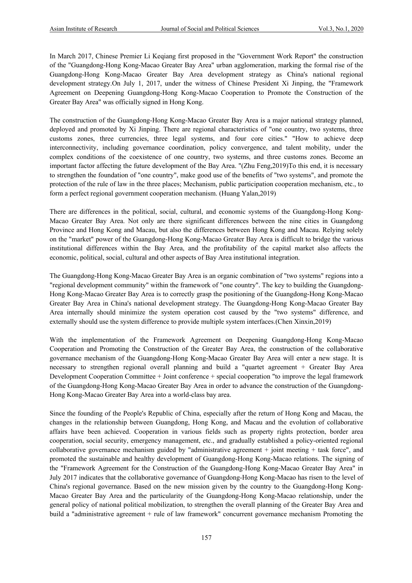In March 2017, Chinese Premier Li Keqiang first proposed in the "Government Work Report" the construction of the "Guangdong-Hong Kong-Macao Greater Bay Area" urban agglomeration, marking the formal rise of the Guangdong-Hong Kong-Macao Greater Bay Area development strategy as China's national regional development strategy.On July 1, 2017, under the witness of Chinese President Xi Jinping, the "Framework Agreement on Deepening Guangdong-Hong Kong-Macao Cooperation to Promote the Construction of the Greater Bay Area" was officially signed in Hong Kong.

The construction of the Guangdong-Hong Kong-Macao Greater Bay Area is a major national strategy planned, deployed and promoted by Xi Jinping. There are regional characteristics of "one country, two systems, three customs zones, three currencies, three legal systems, and four core cities." "How to achieve deep interconnectivity, including governance coordination, policy convergence, and talent mobility, under the complex conditions of the coexistence of one country, two systems, and three customs zones. Become an important factor affecting the future development of the Bay Area. "(Zhu Feng,2019)To this end, it is necessary to strengthen the foundation of "one country", make good use of the benefits of "two systems", and promote the protection of the rule of law in the three places; Mechanism, public participation cooperation mechanism, etc., to form a perfect regional government cooperation mechanism. (Huang Yalan,2019)

There are differences in the political, social, cultural, and economic systems of the Guangdong-Hong Kong-Macao Greater Bay Area. Not only are there significant differences between the nine cities in Guangdong Province and Hong Kong and Macau, but also the differences between Hong Kong and Macau. Relying solely on the "market" power of the Guangdong-Hong Kong-Macao Greater Bay Area is difficult to bridge the various institutional differences within the Bay Area, and the profitability of the capital market also affects the economic, political, social, cultural and other aspects of Bay Area institutional integration.

The Guangdong-Hong Kong-Macao Greater Bay Area is an organic combination of "two systems" regions into a "regional development community" within the framework of "one country". The key to building the Guangdong-Hong Kong-Macao Greater Bay Area is to correctly grasp the positioning of the Guangdong-Hong Kong-Macao Greater Bay Area in China's national development strategy. The Guangdong-Hong Kong-Macao Greater Bay Area internally should minimize the system operation cost caused by the "two systems" difference, and externally should use the system difference to provide multiple system interfaces.(Chen Xinxin,2019)

With the implementation of the Framework Agreement on Deepening Guangdong-Hong Kong-Macao Cooperation and Promoting the Construction of the Greater Bay Area, the construction of the collaborative governance mechanism of the Guangdong-Hong Kong-Macao Greater Bay Area will enter a new stage. It is necessary to strengthen regional overall planning and build a "quartet agreement + Greater Bay Area Development Cooperation Committee + Joint conference + special cooperation "to improve the legal framework of the Guangdong-Hong Kong-Macao Greater Bay Area in order to advance the construction of the Guangdong-Hong Kong-Macao Greater Bay Area into a world-class bay area.

Since the founding of the People's Republic of China, especially after the return of Hong Kong and Macau, the changes in the relationship between Guangdong, Hong Kong, and Macau and the evolution of collaborative affairs have been achieved. Cooperation in various fields such as property rights protection, border area cooperation, social security, emergency management, etc., and gradually established a policy-oriented regional collaborative governance mechanism guided by "administrative agreement  $+$  joint meeting  $+$  task force", and promoted the sustainable and healthy development of Guangdong-Hong Kong-Macao relations. The signing of the "Framework Agreement for the Construction of the Guangdong-Hong Kong-Macao Greater Bay Area" in July 2017 indicates that the collaborative governance of Guangdong-Hong Kong-Macao has risen to the level of China's regional governance. Based on the new mission given by the country to the Guangdong-Hong Kong-Macao Greater Bay Area and the particularity of the Guangdong-Hong Kong-Macao relationship, under the general policy of national political mobilization, to strengthen the overall planning of the Greater Bay Area and build a "administrative agreement + rule of law framework" concurrent governance mechanism Promoting the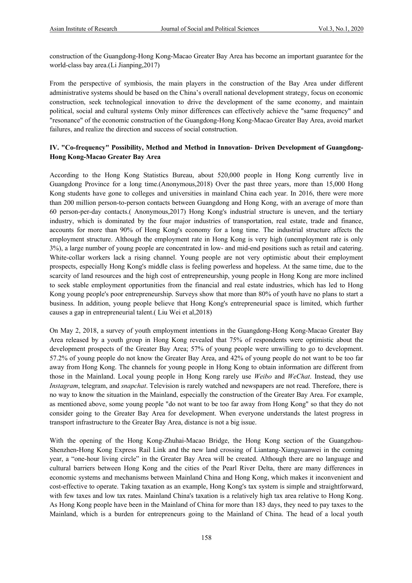construction of the Guangdong-Hong Kong-Macao Greater Bay Area has become an important guarantee for the world-class bay area.(Li Jianping,2017)

From the perspective of symbiosis, the main players in the construction of the Bay Area under different administrative systems should be based on the China's overall national development strategy, focus on economic construction, seek technological innovation to drive the development of the same economy, and maintain political, social and cultural systems Only minor differences can effectively achieve the "same frequency" and "resonance" of the economic construction of the Guangdong-Hong Kong-Macao Greater Bay Area, avoid market failures, and realize the direction and success of social construction.

## **IV. "Co-frequency" Possibility, Method and Method in Innovation- Driven Development of Guangdong-Hong Kong-Macao Greater Bay Area**

According to the Hong Kong Statistics Bureau, about 520,000 people in Hong Kong currently live in Guangdong Province for a long time.(Anonymous,2018) Over the past three years, more than 15,000 Hong Kong students have gone to colleges and universities in mainland China each year. In 2016, there were more than 200 million person-to-person contacts between Guangdong and Hong Kong, with an average of more than 60 person-per-day contacts.( Anonymous,2017) Hong Kong's industrial structure is uneven, and the tertiary industry, which is dominated by the four major industries of transportation, real estate, trade and finance, accounts for more than 90% of Hong Kong's economy for a long time. The industrial structure affects the employment structure. Although the employment rate in Hong Kong is very high (unemployment rate is only 3%), a large number of young people are concentrated in low- and mid-end positions such as retail and catering. White-collar workers lack a rising channel. Young people are not very optimistic about their employment prospects, especially Hong Kong's middle class is feeling powerless and hopeless. At the same time, due to the scarcity of land resources and the high cost of entrepreneurship, young people in Hong Kong are more inclined to seek stable employment opportunities from the financial and real estate industries, which has led to Hong Kong young people's poor entrepreneurship. Surveys show that more than 80% of youth have no plans to start a business. In addition, young people believe that Hong Kong's entrepreneurial space is limited, which further causes a gap in entrepreneurial talent.( Liu Wei et al,2018)

On May 2, 2018, a survey of youth employment intentions in the Guangdong-Hong Kong-Macao Greater Bay Area released by a youth group in Hong Kong revealed that 75% of respondents were optimistic about the development prospects of the Greater Bay Area; 57% of young people were unwilling to go to development. 57.2% of young people do not know the Greater Bay Area, and 42% of young people do not want to be too far away from Hong Kong. The channels for young people in Hong Kong to obtain information are different from those in the Mainland. Local young people in Hong Kong rarely use *Weibo* and *WeChat*. Instead, they use *Instagram*, telegram, and *snapchat*. Television is rarely watched and newspapers are not read. Therefore, there is no way to know the situation in the Mainland, especially the construction of the Greater Bay Area. For example, as mentioned above, some young people "do not want to be too far away from Hong Kong" so that they do not consider going to the Greater Bay Area for development. When everyone understands the latest progress in transport infrastructure to the Greater Bay Area, distance is not a big issue.

With the opening of the Hong Kong-Zhuhai-Macao Bridge, the Hong Kong section of the Guangzhou-Shenzhen-Hong Kong Express Rail Link and the new land crossing of Liantang-Xiangyuanwei in the coming year, a "one-hour living circle" in the Greater Bay Area will be created. Although there are no language and cultural barriers between Hong Kong and the cities of the Pearl River Delta, there are many differences in economic systems and mechanisms between Mainland China and Hong Kong, which makes it inconvenient and cost-effective to operate. Taking taxation as an example, Hong Kong's tax system is simple and straightforward, with few taxes and low tax rates. Mainland China's taxation is a relatively high tax area relative to Hong Kong. As Hong Kong people have been in the Mainland of China for more than 183 days, they need to pay taxes to the Mainland, which is a burden for entrepreneurs going to the Mainland of China. The head of a local youth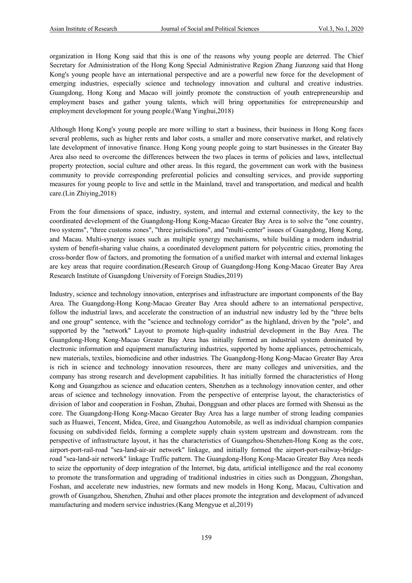organization in Hong Kong said that this is one of the reasons why young people are deterred. The Chief Secretary for Administration of the Hong Kong Special Administrative Region Zhang Jianzong said that Hong Kong's young people have an international perspective and are a powerful new force for the development of emerging industries, especially science and technology innovation and cultural and creative industries. Guangdong, Hong Kong and Macao will jointly promote the construction of youth entrepreneurship and employment bases and gather young talents, which will bring opportunities for entrepreneurship and employment development for young people.(Wang Yinghui,2018)

Although Hong Kong's young people are more willing to start a business, their business in Hong Kong faces several problems, such as higher rents and labor costs, a smaller and more conservative market, and relatively late development of innovative finance. Hong Kong young people going to start businesses in the Greater Bay Area also need to overcome the differences between the two places in terms of policies and laws, intellectual property protection, social culture and other areas. In this regard, the government can work with the business community to provide corresponding preferential policies and consulting services, and provide supporting measures for young people to live and settle in the Mainland, travel and transportation, and medical and health care.(Lin Zhiying,2018)

From the four dimensions of space, industry, system, and internal and external connectivity, the key to the coordinated development of the Guangdong-Hong Kong-Macao Greater Bay Area is to solve the "one country, two systems", "three customs zones", "three jurisdictions", and "multi-center" issues of Guangdong, Hong Kong, and Macau. Multi-synergy issues such as multiple synergy mechanisms, while building a modern industrial system of benefit-sharing value chains, a coordinated development pattern for polycentric cities, promoting the cross-border flow of factors, and promoting the formation of a unified market with internal and external linkages are key areas that require coordination.(Research Group of Guangdong-Hong Kong-Macao Greater Bay Area Research Institute of Guangdong University of Foreign Studies,2019)

Industry, science and technology innovation, enterprises and infrastructure are important components of the Bay Area. The Guangdong-Hong Kong-Macao Greater Bay Area should adhere to an international perspective, follow the industrial laws, and accelerate the construction of an industrial new industry led by the "three belts and one group" sentence, with the "science and technology corridor" as the highland, driven by the "pole", and supported by the "network" Layout to promote high-quality industrial development in the Bay Area. The Guangdong-Hong Kong-Macao Greater Bay Area has initially formed an industrial system dominated by electronic information and equipment manufacturing industries, supported by home appliances, petrochemicals, new materials, textiles, biomedicine and other industries. The Guangdong-Hong Kong-Macao Greater Bay Area is rich in science and technology innovation resources, there are many colleges and universities, and the company has strong research and development capabilities. It has initially formed the characteristics of Hong Kong and Guangzhou as science and education centers, Shenzhen as a technology innovation center, and other areas of science and technology innovation. From the perspective of enterprise layout, the characteristics of division of labor and cooperation in Foshan, Zhuhai, Dongguan and other places are formed with Shensui as the core. The Guangdong-Hong Kong-Macao Greater Bay Area has a large number of strong leading companies such as Huawei, Tencent, Midea, Gree, and Guangzhou Automobile, as well as individual champion companies focusing on subdivided fields, forming a complete supply chain system upstream and downstream. rom the perspective of infrastructure layout, it has the characteristics of Guangzhou-Shenzhen-Hong Kong as the core, airport-port-rail-road "sea-land-air-air network" linkage, and initially formed the airport-port-railway-bridgeroad "sea-land-air network" linkage Traffic pattern. The Guangdong-Hong Kong-Macao Greater Bay Area needs to seize the opportunity of deep integration of the Internet, big data, artificial intelligence and the real economy to promote the transformation and upgrading of traditional industries in cities such as Dongguan, Zhongshan, Foshan, and accelerate new industries, new formats and new models in Hong Kong, Macau, Cultivation and growth of Guangzhou, Shenzhen, Zhuhai and other places promote the integration and development of advanced manufacturing and modern service industries.(Kang Mengyue et al,2019)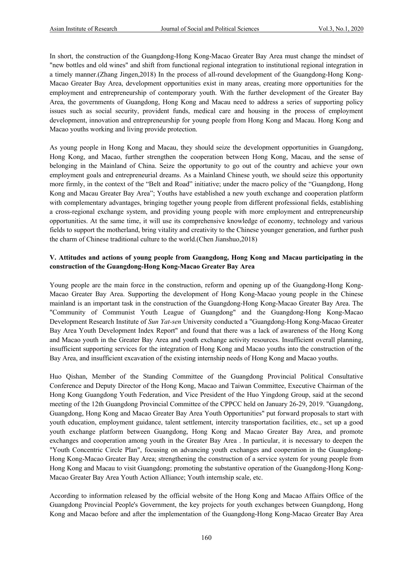In short, the construction of the Guangdong-Hong Kong-Macao Greater Bay Area must change the mindset of "new bottles and old wines" and shift from functional regional integration to institutional regional integration in a timely manner.(Zhang Jingen,2018) In the process of all-round development of the Guangdong-Hong Kong-Macao Greater Bay Area, development opportunities exist in many areas, creating more opportunities for the employment and entrepreneurship of contemporary youth. With the further development of the Greater Bay Area, the governments of Guangdong, Hong Kong and Macau need to address a series of supporting policy issues such as social security, provident funds, medical care and housing in the process of employment development, innovation and entrepreneurship for young people from Hong Kong and Macau. Hong Kong and Macao youths working and living provide protection.

As young people in Hong Kong and Macau, they should seize the development opportunities in Guangdong, Hong Kong, and Macao, further strengthen the cooperation between Hong Kong, Macau, and the sense of belonging in the Mainland of China. Seize the opportunity to go out of the country and achieve your own employment goals and entrepreneurial dreams. As a Mainland Chinese youth, we should seize this opportunity more firmly, in the context of the "Belt and Road" initiative; under the macro policy of the "Guangdong, Hong Kong and Macau Greater Bay Area"; Youths have established a new youth exchange and cooperation platform with complementary advantages, bringing together young people from different professional fields, establishing a cross-regional exchange system, and providing young people with more employment and entrepreneurship opportunities. At the same time, it will use its comprehensive knowledge of economy, technology and various fields to support the motherland, bring vitality and creativity to the Chinese younger generation, and further push the charm of Chinese traditional culture to the world.(Chen Jianshuo,2018)

### **V. Attitudes and actions of young people from Guangdong, Hong Kong and Macau participating in the construction of the Guangdong-Hong Kong-Macao Greater Bay Area**

Young people are the main force in the construction, reform and opening up of the Guangdong-Hong Kong-Macao Greater Bay Area. Supporting the development of Hong Kong-Macao young people in the Chinese mainland is an important task in the construction of the Guangdong-Hong Kong-Macao Greater Bay Area. The "Community of Communist Youth League of Guangdong" and the Guangdong-Hong Kong-Macao Development Research Institute of *Sun Yat-sen* University conducted a "Guangdong-Hong Kong-Macao Greater Bay Area Youth Development Index Report" and found that there was a lack of awareness of the Hong Kong and Macao youth in the Greater Bay Area and youth exchange activity resources. Insufficient overall planning, insufficient supporting services for the integration of Hong Kong and Macao youths into the construction of the Bay Area, and insufficient excavation of the existing internship needs of Hong Kong and Macao youths.

Huo Qishan, Member of the Standing Committee of the Guangdong Provincial Political Consultative Conference and Deputy Director of the Hong Kong, Macao and Taiwan Committee, Executive Chairman of the Hong Kong Guangdong Youth Federation, and Vice President of the Huo Yingdong Group, said at the second meeting of the 12th Guangdong Provincial Committee of the CPPCC held on January 26-29, 2019. "Guangdong, Guangdong, Hong Kong and Macao Greater Bay Area Youth Opportunities" put forward proposals to start with youth education, employment guidance, talent settlement, intercity transportation facilities, etc., set up a good youth exchange platform between Guangdong, Hong Kong and Macao Greater Bay Area, and promote exchanges and cooperation among youth in the Greater Bay Area . In particular, it is necessary to deepen the "Youth Concentric Circle Plan", focusing on advancing youth exchanges and cooperation in the Guangdong-Hong Kong-Macao Greater Bay Area; strengthening the construction of a service system for young people from Hong Kong and Macau to visit Guangdong; promoting the substantive operation of the Guangdong-Hong Kong-Macao Greater Bay Area Youth Action Alliance; Youth internship scale, etc.

According to information released by the official website of the Hong Kong and Macao Affairs Office of the Guangdong Provincial People's Government, the key projects for youth exchanges between Guangdong, Hong Kong and Macao before and after the implementation of the Guangdong-Hong Kong-Macao Greater Bay Area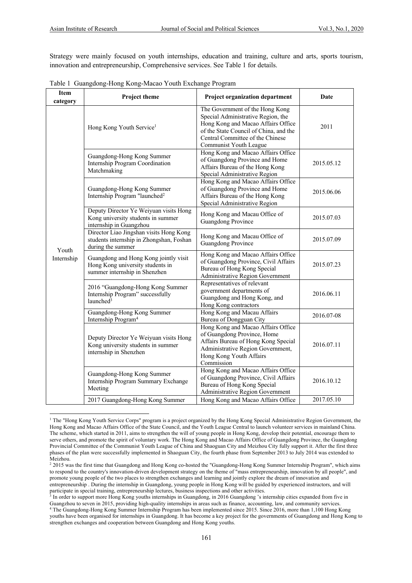Strategy were mainly focused on youth internships, education and training, culture and arts, sports tourism, innovation and entrepreneurship, Comprehensive services. See Table 1 for details.

| <b>Item</b><br>category | Project theme                                                                                              | Project organization department                                                                                                                                                                                     | Date       |
|-------------------------|------------------------------------------------------------------------------------------------------------|---------------------------------------------------------------------------------------------------------------------------------------------------------------------------------------------------------------------|------------|
|                         | Hong Kong Youth Service <sup>1</sup>                                                                       | The Government of the Hong Kong<br>Special Administrative Region, the<br>Hong Kong and Macao Affairs Office<br>of the State Council of China, and the<br>Central Committee of the Chinese<br>Communist Youth League | 2011       |
|                         | Guangdong-Hong Kong Summer<br>Internship Program Coordination<br>Matchmaking                               | Hong Kong and Macao Affairs Office<br>of Guangdong Province and Home<br>Affairs Bureau of the Hong Kong<br>Special Administrative Region                                                                            | 2015.05.12 |
|                         | Guangdong-Hong Kong Summer<br>Internship Program "launched <sup>2</sup>                                    | Hong Kong and Macao Affairs Office<br>of Guangdong Province and Home<br>Affairs Bureau of the Hong Kong<br>Special Administrative Region                                                                            | 2015.06.06 |
|                         | Deputy Director Ye Weiyuan visits Hong<br>Kong university students in summer<br>internship in Guangzhou    | Hong Kong and Macau Office of<br>Guangdong Province                                                                                                                                                                 | 2015.07.03 |
|                         | Director Liao Jingshan visits Hong Kong<br>students internship in Zhongshan, Foshan<br>during the summer   | Hong Kong and Macau Office of<br>Guangdong Province                                                                                                                                                                 | 2015.07.09 |
| Youth<br>Internship     | Guangdong and Hong Kong jointly visit<br>Hong Kong university students in<br>summer internship in Shenzhen | Hong Kong and Macao Affairs Office<br>of Guangdong Province, Civil Affairs<br>Bureau of Hong Kong Special<br>Administrative Region Government                                                                       | 2015.07.23 |
|                         | 2016 "Guangdong-Hong Kong Summer<br>Internship Program" successfully<br>launched <sup>3</sup>              | Representatives of relevant<br>government departments of<br>Guangdong and Hong Kong, and<br>Hong Kong contractors                                                                                                   | 2016.06.11 |
|                         | Guangdong-Hong Kong Summer<br>Internship Program <sup>4</sup>                                              | Hong Kong and Macau Affairs<br>Bureau of Dongguan City                                                                                                                                                              | 2016.07-08 |
|                         | Deputy Director Ye Weiyuan visits Hong<br>Kong university students in summer<br>internship in Shenzhen     | Hong Kong and Macao Affairs Office<br>of Guangdong Province, Home<br>Affairs Bureau of Hong Kong Special<br>Administrative Region Government,<br>Hong Kong Youth Affairs<br>Commission                              | 2016.07.11 |
|                         | Guangdong-Hong Kong Summer<br>Internship Program Summary Exchange<br>Meeting                               | Hong Kong and Macao Affairs Office<br>of Guangdong Province, Civil Affairs<br>Bureau of Hong Kong Special<br>Administrative Region Government                                                                       | 2016.10.12 |
|                         | 2017 Guangdong-Hong Kong Summer                                                                            | Hong Kong and Macao Affairs Office                                                                                                                                                                                  | 2017.05.10 |

<sup>&</sup>lt;sup>1</sup> The "Hong Kong Youth Service Corps" program is a project organized by the Hong Kong Special Administrative Region Government, the Hong Kong and Macao Affairs Office of the State Council, and the Youth League Central to launch volunteer services in mainland China. The scheme, which started in 2011, aims to strengthen the will of young people in Hong Kong, develop their potential, encourage them to serve others, and promote the spirit of voluntary work. The Hong Kong and Macao Affairs Office of Guangdong Province, the Guangdong Provincial Committee of the Communist Youth League of China and Shaoguan City and Meizhou City fully support it. After the first three phases of the plan were successfully implemented in Shaoguan City, the fourth phase from September 2013 to July 2014 was extended to Meizhou.

<sup>&</sup>lt;sup>2</sup> 2015 was the first time that Guangdong and Hong Kong co-hosted the "Guangdong-Hong Kong Summer Internship Program", which aims to respond to the country's innovation-driven development strategy on the theme of "mass entrepreneurship, innovation by all people", and promote young people of the two places to strengthen exchanges and learning and jointly explore the dream of innovation and entrepreneurship . During the internship in Guangdong, young people in Hong Kong will be guided by experienced instructors, and will participate in special training, entrepreneurship lectures, business inspections and other activities.

 $3$  In order to support more Hong Kong youths internships in Guangdong, in 2016 Guangdong 's internship cities expanded from five in Guangzhou to seven in 2015, providing high-quality internships in areas such as finance, accounting, law, and community services.

<sup>4</sup> The Guangdong-Hong Kong Summer Internship Program has been implemented since 2015. Since 2016, more than 1,100 Hong Kong youths have been organised for internships in Guangdong. It has become a key project for the governments of Guangdong and Hong Kong to strengthen exchanges and cooperation between Guangdong and Hong Kong youths.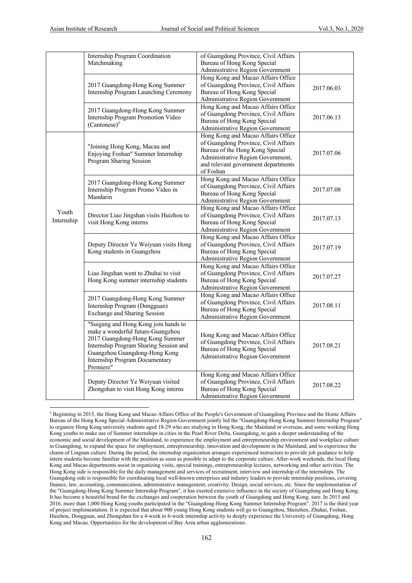|                     | Internship Program Coordination<br>Matchmaking                                                                                                                                                                                         | of Guangdong Province, Civil Affairs<br>Bureau of Hong Kong Special<br>Administrative Region Government                                                                                                |            |
|---------------------|----------------------------------------------------------------------------------------------------------------------------------------------------------------------------------------------------------------------------------------|--------------------------------------------------------------------------------------------------------------------------------------------------------------------------------------------------------|------------|
|                     | 2017 Guangdong-Hong Kong Summer<br>Internship Program Launching Ceremony                                                                                                                                                               | Hong Kong and Macao Affairs Office<br>of Guangdong Province, Civil Affairs<br>Bureau of Hong Kong Special<br>Administrative Region Government                                                          | 2017.06.03 |
|                     | 2017 Guangdong-Hong Kong Summer<br>Internship Program Promotion Video<br>$(Cantonese)^5$                                                                                                                                               | Hong Kong and Macao Affairs Office<br>of Guangdong Province, Civil Affairs<br>Bureau of Hong Kong Special<br>Administrative Region Government                                                          | 2017.06.13 |
|                     | "Joining Hong Kong, Macau and<br>Enjoying Foshan" Summer Internship<br>Program Sharing Session                                                                                                                                         | Hong Kong and Macao Affairs Office<br>of Guangdong Province, Civil Affairs<br>Bureau of the Hong Kong Special<br>Administrative Region Government,<br>and relevant government departments<br>of Foshan | 2017.07.06 |
|                     | 2017 Guangdong-Hong Kong Summer<br>Internship Program Promo Video in<br>Mandarin                                                                                                                                                       | Hong Kong and Macao Affairs Office<br>of Guangdong Province, Civil Affairs<br>Bureau of Hong Kong Special<br>Administrative Region Government                                                          | 2017.07.08 |
| Youth<br>Internship | Director Liao Jingshan visits Huizhou to<br>visit Hong Kong interns                                                                                                                                                                    | Hong Kong and Macao Affairs Office<br>of Guangdong Province, Civil Affairs<br>Bureau of Hong Kong Special<br>Administrative Region Government                                                          | 2017.07.13 |
|                     | Deputy Director Ye Weiyuan visits Hong<br>Kong students in Guangzhou                                                                                                                                                                   | Hong Kong and Macao Affairs Office<br>of Guangdong Province, Civil Affairs<br>Bureau of Hong Kong Special<br>Administrative Region Government                                                          | 2017.07.19 |
|                     | Liao Jingshan went to Zhuhai to visit<br>Hong Kong summer internship students                                                                                                                                                          | Hong Kong and Macao Affairs Office<br>of Guangdong Province, Civil Affairs<br>Bureau of Hong Kong Special<br>Administrative Region Government                                                          | 2017.07.27 |
|                     | 2017 Guangdong-Hong Kong Summer<br>Internship Program (Dongguan)<br>Exchange and Sharing Session                                                                                                                                       | Hong Kong and Macao Affairs Office<br>of Guangdong Province, Civil Affairs<br>Bureau of Hong Kong Special<br><b>Administrative Region Government</b>                                                   | 2017.08.11 |
|                     | "Suigang and Hong Kong join hands to<br>make a wonderful future-Guangzhou<br>2017 Guangdong-Hong Kong Summer<br>Internship Program Sharing Session and<br>Guangzhou Guangdong-Hong Kong<br>Internship Program Documentary<br>Premiere" | Hong Kong and Macao Affairs Office<br>of Guangdong Province, Civil Affairs<br>Bureau of Hong Kong Special<br>Administrative Region Government                                                          | 2017.08.21 |
|                     | Deputy Director Ye Weiyuan visited<br>Zhongshan to visit Hong Kong interns                                                                                                                                                             | Hong Kong and Macao Affairs Office<br>of Guangdong Province, Civil Affairs<br>Bureau of Hong Kong Special<br>Administrative Region Government                                                          | 2017.08.22 |

<sup>5</sup> Beginning in 2015, the Hong Kong and Macao Affairs Office of the People's Government of Guangdong Province and the Home Affairs Bureau of the Hong Kong Special Administrative Region Government jointly led the "Guangdong-Hong Kong Summer Internship Program" to organize Hong Kong university students aged 18-29 who are studying in Hong Kong, the Mainland or overseas, and some working Hong Kong youths to make use of Summer internships in cities in the Pearl River Delta, Guangdong, to gain a deeper understanding of the economic and social development of the Mainland, to experience the employment and entrepreneurship environment and workplace culture in Guangdong, to expand the space for employment, entrepreneurship, innovation and development in the Mainland, and to experience the charm of Lingnan culture. During the period, the internship organization arranges experienced instructors to provide job guidance to help intern students become familiar with the position as soon as possible to adapt to the corporate culture. After-work weekends, the local Hong Kong and Macao departments assist in organizing visits, special trainings, entrepreneurship lectures, networking and other activities. The Hong Kong side is responsible for the daily management and services of recruitment, interview and internship of the internships. The Guangdong side is responsible for coordinating local well-known enterprises and industry leaders to provide internship positions, covering finance, law, accounting, communication, administrative management, creativity. Design, social services, etc. Since the implementation of the "Guangdong-Hong Kong Summer Internship Program", it has exerted extensive influence in the society of Guangdong and Hong Kong. It has become a beautiful brand for the exchanges and cooperation between the youth of Guangdong and Hong Kong. sure. In 2015 and 2016, more than 1,000 Hong Kong youths participated in the "Guangdong-Hong Kong Summer Internship Program". 2017 is the third year of project implementation. It is expected that about 900 young Hong Kong students will go to Guangzhou, Shenzhen, Zhuhai, Foshan, Huizhou, Dongguan, and Zhongshan for a 4-week to 6-week internship activity to deeply experience the University of Guangdong, Hong Kong and Macau. Opportunities for the development of Bay Area urban agglomerations.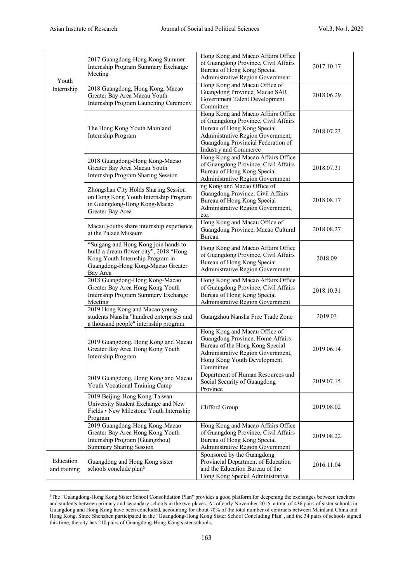|                           | 2017 Guangdong-Hong Kong Summer<br>Internship Program Summary Exchange<br>Meeting                                                                                   | Hong Kong and Macao Affairs Office<br>of Guangdong Province, Civil Affairs<br>Bureau of Hong Kong Special<br>Administrative Region Government                                                                 | 2017.10.17 |
|---------------------------|---------------------------------------------------------------------------------------------------------------------------------------------------------------------|---------------------------------------------------------------------------------------------------------------------------------------------------------------------------------------------------------------|------------|
| Youth<br>Internship       | 2018 Guangdong, Hong Kong, Macao<br>Greater Bay Area Macau Youth<br>Internship Program Launching Ceremony                                                           | Hong Kong and Macau Office of<br>Guangdong Province, Macao SAR<br>Government Talent Development<br>Committee                                                                                                  | 2018.06.29 |
|                           | The Hong Kong Youth Mainland<br>Internship Program                                                                                                                  | Hong Kong and Macao Affairs Office<br>of Guangdong Province, Civil Affairs<br>Bureau of Hong Kong Special<br>Administrative Region Government,<br>Guangdong Provincial Federation of<br>Industry and Commerce | 2018.07.23 |
|                           | 2018 Guangdong-Hong Kong-Macao<br>Greater Bay Area Macau Youth<br>Internship Program Sharing Session                                                                | Hong Kong and Macao Affairs Office<br>of Guangdong Province, Civil Affairs<br>Bureau of Hong Kong Special<br>Administrative Region Government                                                                 | 2018.07.31 |
|                           | Zhongshan City Holds Sharing Session<br>on Hong Kong Youth Internship Program<br>in Guangdong-Hong Kong-Macao<br>Greater Bay Area                                   | ng Kong and Macao Office of<br>Guangdong Province, Civil Affairs<br>Bureau of Hong Kong Special<br>Administrative Region Government,<br>etc.                                                                  | 2018.08.17 |
|                           | Macau youths share internship experience<br>at the Palace Museum                                                                                                    | Hong Kong and Macau Office of<br>Guangdong Province, Macao Cultural<br>Bureau                                                                                                                                 | 2018.08.27 |
|                           | "Suigang and Hong Kong join hands to<br>build a dream flower city", 2018 "Hong<br>Kong Youth Internship Program in<br>Guangdong-Hong Kong-Macao Greater<br>Bay Area | Hong Kong and Macao Affairs Office<br>of Guangdong Province, Civil Affairs<br>Bureau of Hong Kong Special<br>Administrative Region Government                                                                 | 2018.09    |
|                           | 2018 Guangdong-Hong Kong-Macao<br>Greater Bay Area Hong Kong Youth<br>Internship Program Summary Exchange<br>Meeting                                                | Hong Kong and Macao Affairs Office<br>of Guangdong Province, Civil Affairs<br>Bureau of Hong Kong Special<br>Administrative Region Government                                                                 | 2018.10.31 |
|                           | 2019 Hong Kong and Macao young<br>students Nansha "hundred enterprises and<br>a thousand people" internship program                                                 | Guangzhou Nansha Free Trade Zone                                                                                                                                                                              | 2019.03    |
|                           | 2019 Guangdong, Hong Kong and Macau<br>Greater Bay Area Hong Kong Youth<br>Internship Program                                                                       | Hong Kong and Macau Office of<br>Guangdong Province, Home Affairs<br>Bureau of the Hong Kong Special<br>Administrative Region Government,<br>Hong Kong Youth Development<br>Committee                         | 2019.06.14 |
|                           | 2019 Guangdong, Hong Kong and Macau<br>Youth Vocational Training Camp                                                                                               | Department of Human Resources and<br>Social Security of Guangdong<br>Province                                                                                                                                 | 2019.07.15 |
|                           | 2019 Beijing-Hong Kong-Taiwan<br>University Student Exchange and New<br>Fields • New Milestone Youth Internship<br>Program                                          | Clifford Group                                                                                                                                                                                                | 2019.08.02 |
|                           | 2019 Guangdong-Hong Kong-Macao<br>Greater Bay Area Hong Kong Youth<br>Internship Program (Guangzhou)<br><b>Summary Sharing Session</b>                              | Hong Kong and Macao Affairs Office<br>of Guangdong Province, Civil Affairs<br>Bureau of Hong Kong Special<br>Administrative Region Government                                                                 | 2019.08.22 |
| Education<br>and training | Guangdong and Hong Kong sister<br>schools conclude plan <sup>6</sup>                                                                                                | Sponsored by the Guangdong<br>Provincial Department of Education<br>and the Education Bureau of the<br>Hong Kong Special Administrative                                                                       | 2016.11.04 |

<sup>6</sup> The "Guangdong-Hong Kong Sister School Consolidation Plan" provides a good platform for deepening the exchanges between teachers and students between primary and secondary schools in the two places. As of early November 2016, a total of 436 pairs of sister schools in Guangdong and Hong Kong have been concluded, accounting for about 70% of the total number of contracts between Mainland China and Hong Kong. Since Shenzhen participated in the "Guangdong-Hong Kong Sister School Concluding Plan", and the 34 pairs of schools signed this time, the city has 210 pairs of Guangdong-Hong Kong sister schools.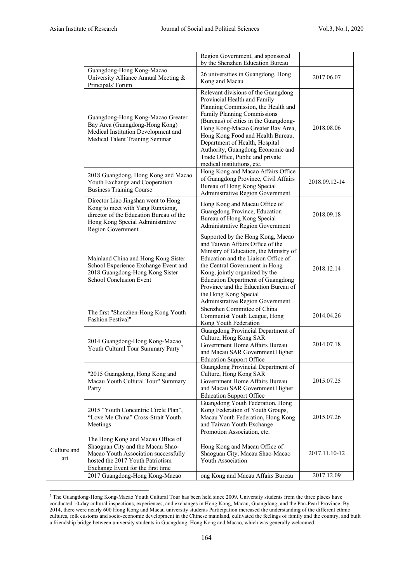|                    |                                                                                                                                                                                         | Region Government, and sponsored                                                                                                                                                                                                                                                                                                                                                                      |               |
|--------------------|-----------------------------------------------------------------------------------------------------------------------------------------------------------------------------------------|-------------------------------------------------------------------------------------------------------------------------------------------------------------------------------------------------------------------------------------------------------------------------------------------------------------------------------------------------------------------------------------------------------|---------------|
|                    |                                                                                                                                                                                         | by the Shenzhen Education Bureau                                                                                                                                                                                                                                                                                                                                                                      |               |
|                    | Guangdong-Hong Kong-Macao<br>University Alliance Annual Meeting &<br>Principals' Forum                                                                                                  | 26 universities in Guangdong, Hong<br>Kong and Macau                                                                                                                                                                                                                                                                                                                                                  | 2017.06.07    |
|                    | Guangdong-Hong Kong-Macao Greater<br>Bay Area (Guangdong-Hong Kong)<br>Medical Institution Development and<br>Medical Talent Training Seminar                                           | Relevant divisions of the Guangdong<br>Provincial Health and Family<br>Planning Commission, the Health and<br>Family Planning Commissions<br>(Bureaus) of cities in the Guangdong-<br>Hong Kong-Macao Greater Bay Area,<br>Hong Kong Food and Health Bureau,<br>Department of Health, Hospital<br>Authority, Guangdong Economic and<br>Trade Office, Public and private<br>medical institutions, etc. | 2018.08.06    |
|                    | 2018 Guangdong, Hong Kong and Macao<br>Youth Exchange and Cooperation<br><b>Business Training Course</b>                                                                                | Hong Kong and Macao Affairs Office<br>of Guangdong Province, Civil Affairs<br>Bureau of Hong Kong Special<br>Administrative Region Government                                                                                                                                                                                                                                                         | 2018.09.12-14 |
|                    | Director Liao Jingshan went to Hong<br>Kong to meet with Yang Runxiong,<br>director of the Education Bureau of the<br>Hong Kong Special Administrative<br>Region Government             | Hong Kong and Macau Office of<br>Guangdong Province, Education<br>Bureau of Hong Kong Special<br>Administrative Region Government                                                                                                                                                                                                                                                                     | 2018.09.18    |
|                    | Mainland China and Hong Kong Sister<br>School Experience Exchange Event and<br>2018 Guangdong-Hong Kong Sister<br>School Conclusion Event                                               | Supported by the Hong Kong, Macao<br>and Taiwan Affairs Office of the<br>Ministry of Education, the Ministry of<br>Education and the Liaison Office of<br>the Central Government in Hong<br>Kong, jointly organized by the<br><b>Education Department of Guangdong</b><br>Province and the Education Bureau of<br>the Hong Kong Special<br>Administrative Region Government                           | 2018.12.14    |
|                    | The first "Shenzhen-Hong Kong Youth<br><b>Fashion Festival</b> "                                                                                                                        | Shenzhen Committee of China<br>Communist Youth League, Hong<br>Kong Youth Federation                                                                                                                                                                                                                                                                                                                  | 2014.04.26    |
|                    | 2014 Guangdong-Hong Kong-Macao<br>Youth Cultural Tour Summary Party <sup>7</sup>                                                                                                        | Guangdong Provincial Department of<br>Culture, Hong Kong SAR<br>Government Home Affairs Bureau<br>and Macau SAR Government Higher<br><b>Education Support Office</b>                                                                                                                                                                                                                                  | 2014.07.18    |
|                    | "2015 Guangdong, Hong Kong and<br>Macau Youth Cultural Tour" Summary<br>Party                                                                                                           | Guangdong Provincial Department of<br>Culture, Hong Kong SAR<br>Government Home Affairs Bureau<br>and Macau SAR Government Higher<br><b>Education Support Office</b>                                                                                                                                                                                                                                  | 2015.07.25    |
|                    | 2015 "Youth Concentric Circle Plan",<br>"Love Me China" Cross-Strait Youth<br>Meetings                                                                                                  | Guangdong Youth Federation, Hong<br>Kong Federation of Youth Groups,<br>Macau Youth Federation, Hong Kong<br>and Taiwan Youth Exchange<br>Promotion Association, etc.                                                                                                                                                                                                                                 | 2015.07.26    |
| Culture and<br>art | The Hong Kong and Macau Office of<br>Shaoguan City and the Macau Shao-<br>Macao Youth Association successfully<br>hosted the 2017 Youth Patriotism<br>Exchange Event for the first time | Hong Kong and Macau Office of<br>Shaoguan City, Macau Shao-Macao<br>Youth Association                                                                                                                                                                                                                                                                                                                 | 2017.11.10-12 |
|                    | 2017 Guangdong-Hong Kong-Macao                                                                                                                                                          | ong Kong and Macau Affairs Bureau                                                                                                                                                                                                                                                                                                                                                                     | 2017.12.09    |

<sup>7</sup> The Guangdong-Hong Kong-Macao Youth Cultural Tour has been held since 2009. University students from the three places have conducted 10-day cultural inspections, experiences, and exchanges in Hong Kong, Macau, Guangdong, and the Pan-Pearl Province. By 2014, there were nearly 600 Hong Kong and Macau university students Participation increased the understanding of the different ethnic cultures, folk customs and socio-economic development in the Chinese mainland, cultivated the feelings of family and the country, and built a friendship bridge between university students in Guangdong, Hong Kong and Macao, which was generally welcomed.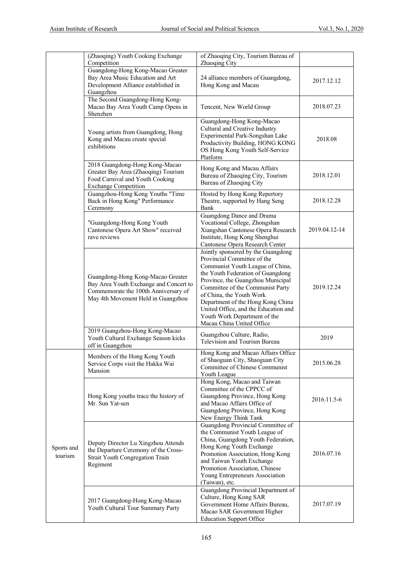|                       | (Zhaoqing) Youth Cooking Exchange<br>Competition                                                                                                          | of Zhaoqing City, Tourism Bureau of<br>Zhaoqing City                                                                                                                                                                                                                                                                                                                                      |               |
|-----------------------|-----------------------------------------------------------------------------------------------------------------------------------------------------------|-------------------------------------------------------------------------------------------------------------------------------------------------------------------------------------------------------------------------------------------------------------------------------------------------------------------------------------------------------------------------------------------|---------------|
|                       | Guangdong-Hong Kong-Macao Greater<br>Bay Area Music Education and Art<br>Development Alliance established in<br>Guangzhou                                 | 24 alliance members of Guangdong,<br>Hong Kong and Macau                                                                                                                                                                                                                                                                                                                                  | 2017.12.12    |
|                       | The Second Guangdong-Hong Kong-<br>Macao Bay Area Youth Camp Opens in<br>Shenzhen                                                                         | Tencent, New World Group                                                                                                                                                                                                                                                                                                                                                                  | 2018.07.23    |
|                       | Young artists from Guangdong, Hong<br>Kong and Macau create special<br>exhibitions                                                                        | Guangdong-Hong Kong-Macao<br>Cultural and Creative Industry<br>Experimental Park-Songshan Lake<br>Productivity Building, HONG KONG<br>OS Hong Kong Youth Self-Service<br>Platform                                                                                                                                                                                                         | 2018.08       |
|                       | 2018 Guangdong-Hong Kong-Macao<br>Greater Bay Area (Zhaoqing) Tourism<br>Food Carnival and Youth Cooking<br><b>Exchange Competition</b>                   | Hong Kong and Macau Affairs<br>Bureau of Zhaoqing City, Tourism<br>Bureau of Zhaoqing City                                                                                                                                                                                                                                                                                                | 2018.12.01    |
|                       | Guangzhou-Hong Kong Youths "Time<br>Back in Hong Kong" Performance<br>Ceremony                                                                            | Hosted by Hong Kong Repertory<br>Theatre, supported by Hang Seng<br>Bank                                                                                                                                                                                                                                                                                                                  | 2018.12.28    |
|                       | "Guangdong-Hong Kong Youth<br>Cantonese Opera Art Show" received<br>rave reviews                                                                          | Guangdong Dance and Drama<br>Vocational College, Zhongshan<br>Xiangshan Cantonese Opera Research<br>Institute, Hong Kong Shenghui<br>Cantonese Opera Research Center                                                                                                                                                                                                                      | 2019.04.12-14 |
|                       | Guangdong-Hong Kong-Macao Greater<br>Bay Area Youth Exchange and Concert to<br>Commemorate the 100th Anniversary of<br>May 4th Movement Held in Guangzhou | Jointly sponsored by the Guangdong<br>Provincial Committee of the<br>Communist Youth League of China,<br>the Youth Federation of Guangdong<br>Province, the Guangzhou Municipal<br>Committee of the Communist Party<br>of China, the Youth Work<br>Department of the Hong Kong China<br>United Office, and the Education and<br>Youth Work Department of the<br>Macau China United Office | 2019.12.24    |
|                       | 2019 Guangzhou-Hong Kong-Macao<br>Youth Cultural Exchange Season kicks<br>off in Guangzhou                                                                | Guangzhou Culture, Radio,<br>Television and Tourism Bureau                                                                                                                                                                                                                                                                                                                                | 2019          |
|                       | Members of the Hong Kong Youth<br>Service Corps visit the Hakka Wai<br>Mansion                                                                            | Hong Kong and Macao Affairs Office<br>of Shaoguan City, Shaoguan City<br>Committee of Chinese Communist<br>Youth League                                                                                                                                                                                                                                                                   | 2015.06.28    |
|                       | Hong Kong youths trace the history of<br>Mr. Sun Yat-sen                                                                                                  | Hong Kong, Macao and Taiwan<br>Committee of the CPPCC of<br>Guangdong Province, Hong Kong<br>and Macao Affairs Office of<br>Guangdong Province, Hong Kong<br>New Energy Think Tank                                                                                                                                                                                                        | 2016.11.5-6   |
| Sports and<br>tourism | Deputy Director Lu Xingzhou Attends<br>the Departure Ceremony of the Cross-<br><b>Strait Youth Congregation Train</b><br>Regiment                         | Guangdong Provincial Committee of<br>the Communist Youth League of<br>China, Guangdong Youth Federation,<br>Hong Kong Youth Exchange<br>Promotion Association, Hong Kong<br>and Taiwan Youth Exchange<br>Promotion Association, Chinese<br>Young Entrepreneurs Association<br>(Taiwan), etc.                                                                                              | 2016.07.16    |
|                       | 2017 Guangdong-Hong Kong-Macao<br>Youth Cultural Tour Summary Party                                                                                       | Guangdong Provincial Department of<br>Culture, Hong Kong SAR<br>Government Home Affairs Bureau,<br>Macao SAR Government Higher<br><b>Education Support Office</b>                                                                                                                                                                                                                         | 2017.07.19    |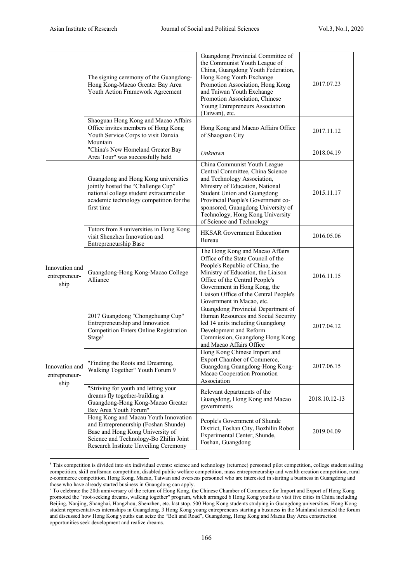|                                         | The signing ceremony of the Guangdong-<br>Hong Kong-Macao Greater Bay Area<br>Youth Action Framework Agreement                                                                                      | Guangdong Provincial Committee of<br>the Communist Youth League of<br>China, Guangdong Youth Federation,<br>Hong Kong Youth Exchange<br>Promotion Association, Hong Kong<br>and Taiwan Youth Exchange<br>Promotion Association, Chinese<br>Young Entrepreneurs Association<br>(Taiwan), etc.                   | 2017.07.23    |
|-----------------------------------------|-----------------------------------------------------------------------------------------------------------------------------------------------------------------------------------------------------|----------------------------------------------------------------------------------------------------------------------------------------------------------------------------------------------------------------------------------------------------------------------------------------------------------------|---------------|
|                                         | Shaoguan Hong Kong and Macao Affairs<br>Office invites members of Hong Kong<br>Youth Service Corps to visit Danxia<br>Mountain                                                                      | Hong Kong and Macao Affairs Office<br>of Shaoguan City                                                                                                                                                                                                                                                         | 2017.11.12    |
|                                         | "China's New Homeland Greater Bay<br>Area Tour" was successfully held                                                                                                                               | Unknown                                                                                                                                                                                                                                                                                                        | 2018.04.19    |
|                                         | Guangdong and Hong Kong universities<br>jointly hosted the "Challenge Cup"<br>national college student extracurricular<br>academic technology competition for the<br>first time                     | China Communist Youth League<br>Central Committee, China Science<br>and Technology Association,<br>Ministry of Education, National<br>Student Union and Guangdong<br>Provincial People's Government co-<br>sponsored, Guangdong University of<br>Technology, Hong Kong University<br>of Science and Technology | 2015.11.17    |
|                                         | Tutors from 8 universities in Hong Kong<br>visit Shenzhen Innovation and<br>Entrepreneurship Base                                                                                                   | <b>HKSAR</b> Government Education<br>Bureau                                                                                                                                                                                                                                                                    | 2016.05.06    |
| Innovation and<br>entrepreneur-<br>ship | Guangdong-Hong Kong-Macao College<br>Alliance                                                                                                                                                       | The Hong Kong and Macao Affairs<br>Office of the State Council of the<br>People's Republic of China, the<br>Ministry of Education, the Liaison<br>Office of the Central People's<br>Government in Hong Kong, the<br>Liaison Office of the Central People's<br>Government in Macao, etc.                        | 2016.11.15    |
|                                         | 2017 Guangdong "Chongchuang Cup"<br>Entrepreneurship and Innovation<br><b>Competition Enters Online Registration</b><br>Stage <sup>8</sup>                                                          | Guangdong Provincial Department of<br>Human Resources and Social Security<br>led 14 units including Guangdong<br>Development and Reform<br>Commission, Guangdong Hong Kong<br>and Macao Affairs Office                                                                                                         | 2017.04.12    |
| Innovation and<br>entrepreneur-<br>ship | "Finding the Roots and Dreaming,<br>Walking Together" Youth Forum 9                                                                                                                                 | Hong Kong Chinese Import and<br>Export Chamber of Commerce,<br>Guangdong Guangdong-Hong Kong-<br>Macao Cooperation Promotion<br>Association                                                                                                                                                                    | 2017.06.15    |
|                                         | "Striving for youth and letting your<br>dreams fly together-building a<br>Guangdong-Hong Kong-Macao Greater<br>Bay Area Youth Forum"                                                                | Relevant departments of the<br>Guangdong, Hong Kong and Macao<br>governments                                                                                                                                                                                                                                   | 2018.10.12-13 |
|                                         | Hong Kong and Macau Youth Innovation<br>and Entrepreneurship (Foshan Shunde)<br>Base and Hong Kong University of<br>Science and Technology-Bo Zhilin Joint<br>Research Institute Unveiling Ceremony | People's Government of Shunde<br>District, Foshan City, Bozhilin Robot<br>Experimental Center, Shunde,<br>Foshan, Guangdong                                                                                                                                                                                    | 2019.04.09    |

<sup>&</sup>lt;sup>8</sup> This competition is divided into six individual events: science and technology (returnee) personnel pilot competition, college student sailing competition, skill craftsman competition, disabled public welfare competition, mass entrepreneurship and wealth creation competition, rural e-commerce competition. Hong Kong, Macao, Taiwan and overseas personnel who are interested in starting a business in Guangdong and those who have already started business in Guangdong can apply.

<sup>&</sup>lt;sup>9</sup> To celebrate the 20th anniversary of the return of Hong Kong, the Chinese Chamber of Commerce for Import and Export of Hong Kong promoted the "root-seeking dreams, walking together" program, which arranged 6 Hong Kong youths to visit five cities in China including Beijing, Nanjing, Shanghai, Hangzhou, Shenzhen, etc. last stop. 500 Hong Kong students studying in Guangdong universities, Hong Kong student representatives internships in Guangdong, 3 Hong Kong young entrepreneurs starting a business in the Mainland attended the forum and discussed how Hong Kong youths can seize the "Belt and Road", Guangdong, Hong Kong and Macau Bay Area construction opportunities seek development and realize dreams.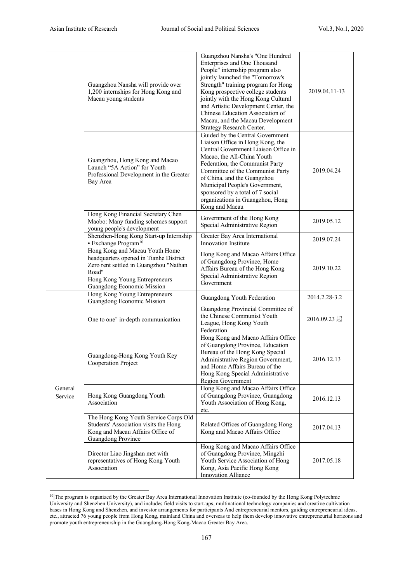|                    | Guangzhou Nansha will provide over<br>1,200 internships for Hong Kong and<br>Macau young students                                                                                          | Guangzhou Nansha's "One Hundred<br>Enterprises and One Thousand<br>People" internship program also<br>jointly launched the "Tomorrow's<br>Strength" training program for Hong<br>Kong prospective college students<br>jointly with the Hong Kong Cultural<br>and Artistic Development Center, the<br>Chinese Education Association of<br>Macau, and the Macau Development<br>Strategy Research Center. | 2019.04.11-13 |
|--------------------|--------------------------------------------------------------------------------------------------------------------------------------------------------------------------------------------|--------------------------------------------------------------------------------------------------------------------------------------------------------------------------------------------------------------------------------------------------------------------------------------------------------------------------------------------------------------------------------------------------------|---------------|
|                    | Guangzhou, Hong Kong and Macao<br>Launch "5A Action" for Youth<br>Professional Development in the Greater<br>Bay Area                                                                      | Guided by the Central Government<br>Liaison Office in Hong Kong, the<br>Central Government Liaison Office in<br>Macao, the All-China Youth<br>Federation, the Communist Party<br>Committee of the Communist Party<br>of China, and the Guangzhou<br>Municipal People's Government,<br>sponsored by a total of 7 social<br>organizations in Guangzhou, Hong<br>Kong and Macau                           | 2019.04.24    |
|                    | Hong Kong Financial Secretary Chen<br>Maobo: Many funding schemes support<br>young people's development                                                                                    | Government of the Hong Kong<br>Special Administrative Region                                                                                                                                                                                                                                                                                                                                           | 2019.05.12    |
|                    | Shenzhen-Hong Kong Start-up Internship<br>· Exchange Program <sup>10</sup>                                                                                                                 | Greater Bay Area International<br>Innovation Institute                                                                                                                                                                                                                                                                                                                                                 | 2019.07.24    |
|                    | Hong Kong and Macau Youth Home<br>headquarters opened in Tianhe District<br>Zero rent settled in Guangzhou "Nathan<br>Road"<br>Hong Kong Young Entrepreneurs<br>Guangdong Economic Mission | Hong Kong and Macao Affairs Office<br>of Guangdong Province, Home<br>Affairs Bureau of the Hong Kong<br>Special Administrative Region<br>Government                                                                                                                                                                                                                                                    | 2019.10.22    |
|                    | Hong Kong Young Entrepreneurs<br>Guangdong Economic Mission                                                                                                                                | Guangdong Youth Federation                                                                                                                                                                                                                                                                                                                                                                             | 2014.2.28-3.2 |
|                    | One to one" in-depth communication                                                                                                                                                         | Guangdong Provincial Committee of<br>the Chinese Communist Youth<br>League, Hong Kong Youth<br>Federation                                                                                                                                                                                                                                                                                              | 2016.09.23 起  |
|                    | Guangdong-Hong Kong Youth Key<br>Cooperation Project                                                                                                                                       | Hong Kong and Macao Affairs Office<br>of Guangdong Province, Education<br>Bureau of the Hong Kong Special<br>Administrative Region Government,<br>and Home Affairs Bureau of the<br>Hong Kong Special Administrative<br>Region Government                                                                                                                                                              | 2016.12.13    |
| General<br>Service | Hong Kong Guangdong Youth<br>Association                                                                                                                                                   | Hong Kong and Macao Affairs Office<br>of Guangdong Province, Guangdong<br>Youth Association of Hong Kong,<br>etc.                                                                                                                                                                                                                                                                                      | 2016.12.13    |
|                    | The Hong Kong Youth Service Corps Old<br>Students' Association visits the Hong<br>Kong and Macau Affairs Office of<br>Guangdong Province                                                   | Related Offices of Guangdong Hong<br>Kong and Macao Affairs Office                                                                                                                                                                                                                                                                                                                                     | 2017.04.13    |
|                    | Director Liao Jingshan met with<br>representatives of Hong Kong Youth<br>Association                                                                                                       | Hong Kong and Macao Affairs Office<br>of Guangdong Province, Mingzhi<br>Youth Service Association of Hong<br>Kong, Asia Pacific Hong Kong<br>Innovation Alliance                                                                                                                                                                                                                                       | 2017.05.18    |

<sup>&</sup>lt;sup>10</sup> The program is organized by the Greater Bay Area International Innovation Institute (co-founded by the Hong Kong Polytechnic University and Shenzhen University), and includes field visits to start-ups, multinational technology companies and creative cultivation bases in Hong Kong and Shenzhen, and investor arrangements for participants And entrepreneurial mentors, guiding entrepreneurial ideas, etc., attracted 76 young people from Hong Kong, mainland China and overseas to help them develop innovative entrepreneurial horizons and promote youth entrepreneurship in the Guangdong-Hong Kong-Macao Greater Bay Area.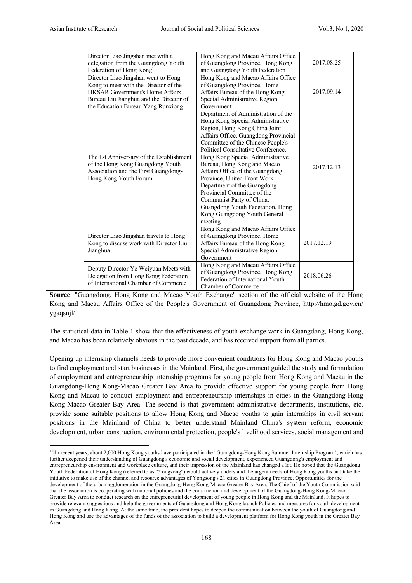| Director Liao Jingshan met with a<br>delegation from the Guangdong Youth<br>Federation of Hong Kong <sup>11</sup>                                                                                       | Hong Kong and Macau Affairs Office<br>of Guangdong Province, Hong Kong<br>and Guangdong Youth Federation                                                                                                                                                                                                                                                                                                                                                                                                                                   | 2017.08.25 |
|---------------------------------------------------------------------------------------------------------------------------------------------------------------------------------------------------------|--------------------------------------------------------------------------------------------------------------------------------------------------------------------------------------------------------------------------------------------------------------------------------------------------------------------------------------------------------------------------------------------------------------------------------------------------------------------------------------------------------------------------------------------|------------|
| Director Liao Jingshan went to Hong<br>Kong to meet with the Director of the<br><b>HKSAR Government's Home Affairs</b><br>Bureau Liu Jianghua and the Director of<br>the Education Bureau Yang Runxiong | Hong Kong and Macao Affairs Office<br>of Guangdong Province, Home<br>Affairs Bureau of the Hong Kong<br>Special Administrative Region<br>Government                                                                                                                                                                                                                                                                                                                                                                                        | 2017.09.14 |
| The 1st Anniversary of the Establishment<br>of the Hong Kong Guangdong Youth<br>Association and the First Guangdong-<br>Hong Kong Youth Forum                                                           | Department of Administration of the<br>Hong Kong Special Administrative<br>Region, Hong Kong China Joint<br>Affairs Office, Guangdong Provincial<br>Committee of the Chinese People's<br>Political Consultative Conference,<br>Hong Kong Special Administrative<br>Bureau, Hong Kong and Macao<br>Affairs Office of the Guangdong<br>Province, United Front Work<br>Department of the Guangdong<br>Provincial Committee of the<br>Communist Party of China,<br>Guangdong Youth Federation, Hong<br>Kong Guangdong Youth General<br>meeting | 2017.12.13 |
| Director Liao Jingshan travels to Hong<br>Kong to discuss work with Director Liu<br>Jianghua                                                                                                            | Hong Kong and Macao Affairs Office<br>of Guangdong Province, Home<br>Affairs Bureau of the Hong Kong<br>Special Administrative Region<br>Government                                                                                                                                                                                                                                                                                                                                                                                        | 2017.12.19 |
| Deputy Director Ye Weiyuan Meets with<br>Delegation from Hong Kong Federation<br>of International Chamber of Commerce                                                                                   | Hong Kong and Macau Affairs Office<br>of Guangdong Province, Hong Kong<br>Federation of International Youth<br>Chamber of Commerce                                                                                                                                                                                                                                                                                                                                                                                                         | 2018.06.26 |

**Source**: "Guangdong, Hong Kong and Macao Youth Exchange" section of the official website of the Hong Kong and Macau Affairs Office of the People's Government of Guangdong Province, http://hmo.gd.gov.cn/ ygaqsnjl/

The statistical data in Table 1 show that the effectiveness of youth exchange work in Guangdong, Hong Kong, and Macao has been relatively obvious in the past decade, and has received support from all parties.

Opening up internship channels needs to provide more convenient conditions for Hong Kong and Macao youths to find employment and start businesses in the Mainland. First, the government guided the study and formulation of employment and entrepreneurship internship programs for young people from Hong Kong and Macau in the Guangdong-Hong Kong-Macao Greater Bay Area to provide effective support for young people from Hong Kong and Macau to conduct employment and entrepreneurship internships in cities in the Guangdong-Hong Kong-Macao Greater Bay Area. The second is that government administrative departments, institutions, etc. provide some suitable positions to allow Hong Kong and Macao youths to gain internships in civil servant positions in the Mainland of China to better understand Mainland China's system reform, economic development, urban construction, environmental protection, people's livelihood services, social management and

<sup>&</sup>lt;sup>11</sup> In recent years, about 2,000 Hong Kong youths have participated in the "Guangdong-Hong Kong Summer Internship Program", which has further deepened their understanding of Guangdong's economic and social development, experienced Guangdong's employment and entrepreneurship environment and workplace culture, and their impression of the Mainland has changed a lot. He hoped that the Guangdong Youth Federation of Hong Kong (referred to as "Yongzong") would actively understand the urgent needs of Hong Kong youths and take the initiative to make use of the channel and resource advantages of Yongsong's 21 cities in Guangdong Province. Opportunities for the development of the urban agglomeration in the Guangdong-Hong Kong-Macao Greater Bay Area. The Chief of the Youth Commission said that the association is cooperating with national policies and the construction and development of the Guangdong-Hong Kong-Macao Greater Bay Area to conduct research on the entrepreneurial development of young people in Hong Kong and the Mainland. It hopes to provide relevant suggestions and help the governments of Guangdong and Hong Kong launch Policies and measures for youth development in Guangdong and Hong Kong. At the same time, the president hopes to deepen the communication between the youth of Guangdong and Hong Kong and use the advantages of the funds of the association to build a development platform for Hong Kong youth in the Greater Bay Area.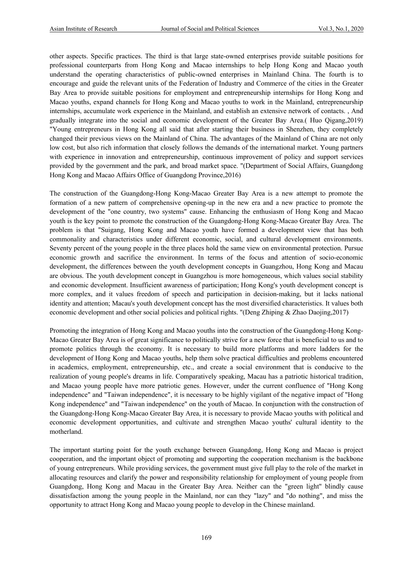other aspects. Specific practices. The third is that large state-owned enterprises provide suitable positions for professional counterparts from Hong Kong and Macao internships to help Hong Kong and Macao youth understand the operating characteristics of public-owned enterprises in Mainland China. The fourth is to encourage and guide the relevant units of the Federation of Industry and Commerce of the cities in the Greater Bay Area to provide suitable positions for employment and entrepreneurship internships for Hong Kong and Macao youths, expand channels for Hong Kong and Macao youths to work in the Mainland, entrepreneurship internships, accumulate work experience in the Mainland, and establish an extensive network of contacts. , And gradually integrate into the social and economic development of the Greater Bay Area.( Huo Qigang,2019) "Young entrepreneurs in Hong Kong all said that after starting their business in Shenzhen, they completely changed their previous views on the Mainland of China. The advantages of the Mainland of China are not only low cost, but also rich information that closely follows the demands of the international market. Young partners with experience in innovation and entrepreneurship, continuous improvement of policy and support services provided by the government and the park, and broad market space. "(Department of Social Affairs, Guangdong Hong Kong and Macao Affairs Office of Guangdong Province,2016)

The construction of the Guangdong-Hong Kong-Macao Greater Bay Area is a new attempt to promote the formation of a new pattern of comprehensive opening-up in the new era and a new practice to promote the development of the "one country, two systems" cause. Enhancing the enthusiasm of Hong Kong and Macao youth is the key point to promote the construction of the Guangdong-Hong Kong-Macao Greater Bay Area. The problem is that "Suigang, Hong Kong and Macao youth have formed a development view that has both commonality and characteristics under different economic, social, and cultural development environments. Seventy percent of the young people in the three places hold the same view on environmental protection. Pursue economic growth and sacrifice the environment. In terms of the focus and attention of socio-economic development, the differences between the youth development concepts in Guangzhou, Hong Kong and Macau are obvious. The youth development concept in Guangzhou is more homogeneous, which values social stability and economic development. Insufficient awareness of participation; Hong Kong's youth development concept is more complex, and it values freedom of speech and participation in decision-making, but it lacks national identity and attention; Macau's youth development concept has the most diversified characteristics. It values both economic development and other social policies and political rights. "(Deng Zhiping & Zhao Daojing,2017)

Promoting the integration of Hong Kong and Macao youths into the construction of the Guangdong-Hong Kong-Macao Greater Bay Area is of great significance to politically strive for a new force that is beneficial to us and to promote politics through the economy. It is necessary to build more platforms and more ladders for the development of Hong Kong and Macao youths, help them solve practical difficulties and problems encountered in academics, employment, entrepreneurship, etc., and create a social environment that is conducive to the realization of young people's dreams in life. Comparatively speaking, Macau has a patriotic historical tradition, and Macao young people have more patriotic genes. However, under the current confluence of "Hong Kong independence" and "Taiwan independence", it is necessary to be highly vigilant of the negative impact of "Hong Kong independence" and "Taiwan independence" on the youth of Macao. In conjunction with the construction of the Guangdong-Hong Kong-Macao Greater Bay Area, it is necessary to provide Macao youths with political and economic development opportunities, and cultivate and strengthen Macao youths' cultural identity to the motherland.

The important starting point for the youth exchange between Guangdong, Hong Kong and Macao is project cooperation, and the important object of promoting and supporting the cooperation mechanism is the backbone of young entrepreneurs. While providing services, the government must give full play to the role of the market in allocating resources and clarify the power and responsibility relationship for employment of young people from Guangdong, Hong Kong and Macau in the Greater Bay Area. Neither can the "green light" blindly cause dissatisfaction among the young people in the Mainland, nor can they "lazy" and "do nothing", and miss the opportunity to attract Hong Kong and Macao young people to develop in the Chinese mainland.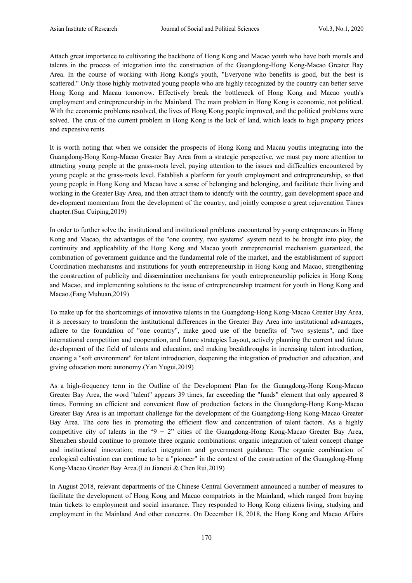Attach great importance to cultivating the backbone of Hong Kong and Macao youth who have both morals and talents in the process of integration into the construction of the Guangdong-Hong Kong-Macao Greater Bay Area. In the course of working with Hong Kong's youth, "Everyone who benefits is good, but the best is scattered." Only those highly motivated young people who are highly recognized by the country can better serve Hong Kong and Macau tomorrow. Effectively break the bottleneck of Hong Kong and Macao youth's employment and entrepreneurship in the Mainland. The main problem in Hong Kong is economic, not political. With the economic problems resolved, the lives of Hong Kong people improved, and the political problems were solved. The crux of the current problem in Hong Kong is the lack of land, which leads to high property prices and expensive rents.

It is worth noting that when we consider the prospects of Hong Kong and Macau youths integrating into the Guangdong-Hong Kong-Macao Greater Bay Area from a strategic perspective, we must pay more attention to attracting young people at the grass-roots level, paying attention to the issues and difficulties encountered by young people at the grass-roots level. Establish a platform for youth employment and entrepreneurship, so that young people in Hong Kong and Macao have a sense of belonging and belonging, and facilitate their living and working in the Greater Bay Area, and then attract them to identify with the country, gain development space and development momentum from the development of the country, and jointly compose a great rejuvenation Times chapter.(Sun Cuiping,2019)

In order to further solve the institutional and institutional problems encountered by young entrepreneurs in Hong Kong and Macao, the advantages of the "one country, two systems" system need to be brought into play, the continuity and applicability of the Hong Kong and Macao youth entrepreneurial mechanism guaranteed, the combination of government guidance and the fundamental role of the market, and the establishment of support Coordination mechanisms and institutions for youth entrepreneurship in Hong Kong and Macao, strengthening the construction of publicity and dissemination mechanisms for youth entrepreneurship policies in Hong Kong and Macao, and implementing solutions to the issue of entrepreneurship treatment for youth in Hong Kong and Macao.(Fang Muhuan,2019)

To make up for the shortcomings of innovative talents in the Guangdong-Hong Kong-Macao Greater Bay Area, it is necessary to transform the institutional differences in the Greater Bay Area into institutional advantages, adhere to the foundation of "one country", make good use of the benefits of "two systems", and face international competition and cooperation, and future strategies Layout, actively planning the current and future development of the field of talents and education, and making breakthroughs in increasing talent introduction, creating a "soft environment" for talent introduction, deepening the integration of production and education, and giving education more autonomy.(Yan Yugui,2019)

As a high-frequency term in the Outline of the Development Plan for the Guangdong-Hong Kong-Macao Greater Bay Area, the word "talent" appears 39 times, far exceeding the "funds" element that only appeared 8 times. Forming an efficient and convenient flow of production factors in the Guangdong-Hong Kong-Macao Greater Bay Area is an important challenge for the development of the Guangdong-Hong Kong-Macao Greater Bay Area. The core lies in promoting the efficient flow and concentration of talent factors. As a highly competitive city of talents in the " $9 + 2$ " cities of the Guangdong-Hong Kong-Macao Greater Bay Area, Shenzhen should continue to promote three organic combinations: organic integration of talent concept change and institutional innovation; market integration and government guidance; The organic combination of ecological cultivation can continue to be a "pioneer" in the context of the construction of the Guangdong-Hong Kong-Macao Greater Bay Area.(Liu Jiancui & Chen Rui,2019)

In August 2018, relevant departments of the Chinese Central Government announced a number of measures to facilitate the development of Hong Kong and Macao compatriots in the Mainland, which ranged from buying train tickets to employment and social insurance. They responded to Hong Kong citizens living, studying and employment in the Mainland And other concerns. On December 18, 2018, the Hong Kong and Macao Affairs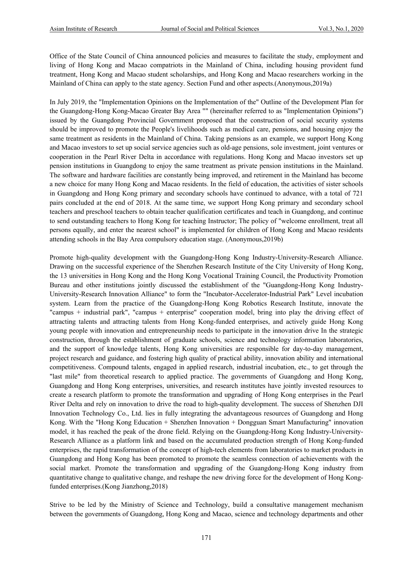Office of the State Council of China announced policies and measures to facilitate the study, employment and living of Hong Kong and Macao compatriots in the Mainland of China, including housing provident fund treatment, Hong Kong and Macao student scholarships, and Hong Kong and Macao researchers working in the Mainland of China can apply to the state agency. Section Fund and other aspects.(Anonymous,2019a)

In July 2019, the "Implementation Opinions on the Implementation of the" Outline of the Development Plan for the Guangdong-Hong Kong-Macao Greater Bay Area "" (hereinafter referred to as "Implementation Opinions") issued by the Guangdong Provincial Government proposed that the construction of social security systems should be improved to promote the People's livelihoods such as medical care, pensions, and housing enjoy the same treatment as residents in the Mainland of China. Taking pensions as an example, we support Hong Kong and Macao investors to set up social service agencies such as old-age pensions, sole investment, joint ventures or cooperation in the Pearl River Delta in accordance with regulations. Hong Kong and Macao investors set up pension institutions in Guangdong to enjoy the same treatment as private pension institutions in the Mainland. The software and hardware facilities are constantly being improved, and retirement in the Mainland has become a new choice for many Hong Kong and Macao residents. In the field of education, the activities of sister schools in Guangdong and Hong Kong primary and secondary schools have continued to advance, with a total of 721 pairs concluded at the end of 2018. At the same time, we support Hong Kong primary and secondary school teachers and preschool teachers to obtain teacher qualification certificates and teach in Guangdong, and continue to send outstanding teachers to Hong Kong for teaching Instructor; The policy of "welcome enrollment, treat all persons equally, and enter the nearest school" is implemented for children of Hong Kong and Macao residents attending schools in the Bay Area compulsory education stage. (Anonymous,2019b)

Promote high-quality development with the Guangdong-Hong Kong Industry-University-Research Alliance. Drawing on the successful experience of the Shenzhen Research Institute of the City University of Hong Kong, the 13 universities in Hong Kong and the Hong Kong Vocational Training Council, the Productivity Promotion Bureau and other institutions jointly discussed the establishment of the "Guangdong-Hong Kong Industry-University-Research Innovation Alliance" to form the "Incubator-Accelerator-Industrial Park" Level incubation system. Learn from the practice of the Guangdong-Hong Kong Robotics Research Institute, innovate the "campus + industrial park", "campus + enterprise" cooperation model, bring into play the driving effect of attracting talents and attracting talents from Hong Kong-funded enterprises, and actively guide Hong Kong young people with innovation and entrepreneurship needs to participate in the innovation drive In the strategic construction, through the establishment of graduate schools, science and technology information laboratories, and the support of knowledge talents, Hong Kong universities are responsible for day-to-day management, project research and guidance, and fostering high quality of practical ability, innovation ability and international competitiveness. Compound talents, engaged in applied research, industrial incubation, etc., to get through the "last mile" from theoretical research to applied practice. The governments of Guangdong and Hong Kong, Guangdong and Hong Kong enterprises, universities, and research institutes have jointly invested resources to create a research platform to promote the transformation and upgrading of Hong Kong enterprises in the Pearl River Delta and rely on innovation to drive the road to high-quality development. The success of Shenzhen DJI Innovation Technology Co., Ltd. lies in fully integrating the advantageous resources of Guangdong and Hong Kong. With the "Hong Kong Education + Shenzhen Innovation + Dongguan Smart Manufacturing" innovation model, it has reached the peak of the drone field. Relying on the Guangdong-Hong Kong Industry-University-Research Alliance as a platform link and based on the accumulated production strength of Hong Kong-funded enterprises, the rapid transformation of the concept of high-tech elements from laboratories to market products in Guangdong and Hong Kong has been promoted to promote the seamless connection of achievements with the social market. Promote the transformation and upgrading of the Guangdong-Hong Kong industry from quantitative change to qualitative change, and reshape the new driving force for the development of Hong Kongfunded enterprises.(Kong Jianzhong,2018)

Strive to be led by the Ministry of Science and Technology, build a consultative management mechanism between the governments of Guangdong, Hong Kong and Macao, science and technology departments and other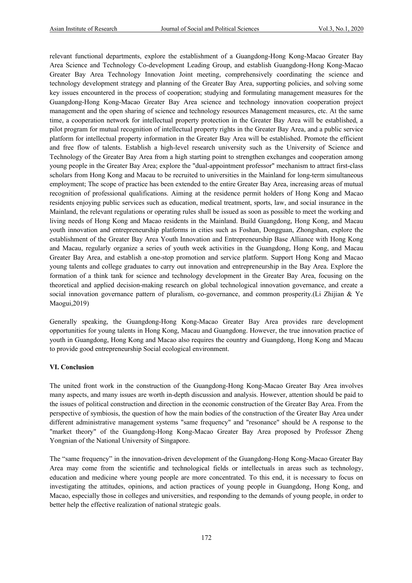relevant functional departments, explore the establishment of a Guangdong-Hong Kong-Macao Greater Bay Area Science and Technology Co-development Leading Group, and establish Guangdong-Hong Kong-Macao Greater Bay Area Technology Innovation Joint meeting, comprehensively coordinating the science and technology development strategy and planning of the Greater Bay Area, supporting policies, and solving some key issues encountered in the process of cooperation; studying and formulating management measures for the Guangdong-Hong Kong-Macao Greater Bay Area science and technology innovation cooperation project management and the open sharing of science and technology resources Management measures, etc. At the same time, a cooperation network for intellectual property protection in the Greater Bay Area will be established, a pilot program for mutual recognition of intellectual property rights in the Greater Bay Area, and a public service platform for intellectual property information in the Greater Bay Area will be established. Promote the efficient and free flow of talents. Establish a high-level research university such as the University of Science and Technology of the Greater Bay Area from a high starting point to strengthen exchanges and cooperation among young people in the Greater Bay Area; explore the "dual-appointment professor" mechanism to attract first-class scholars from Hong Kong and Macau to be recruited to universities in the Mainland for long-term simultaneous employment; The scope of practice has been extended to the entire Greater Bay Area, increasing areas of mutual recognition of professional qualifications. Aiming at the residence permit holders of Hong Kong and Macao residents enjoying public services such as education, medical treatment, sports, law, and social insurance in the Mainland, the relevant regulations or operating rules shall be issued as soon as possible to meet the working and living needs of Hong Kong and Macao residents in the Mainland. Build Guangdong, Hong Kong, and Macau youth innovation and entrepreneurship platforms in cities such as Foshan, Dongguan, Zhongshan, explore the establishment of the Greater Bay Area Youth Innovation and Entrepreneurship Base Alliance with Hong Kong and Macau, regularly organize a series of youth week activities in the Guangdong, Hong Kong, and Macau Greater Bay Area, and establish a one-stop promotion and service platform. Support Hong Kong and Macao young talents and college graduates to carry out innovation and entrepreneurship in the Bay Area. Explore the formation of a think tank for science and technology development in the Greater Bay Area, focusing on the theoretical and applied decision-making research on global technological innovation governance, and create a social innovation governance pattern of pluralism, co-governance, and common prosperity.(Li Zhijian & Ye Maogui,2019)

Generally speaking, the Guangdong-Hong Kong-Macao Greater Bay Area provides rare development opportunities for young talents in Hong Kong, Macau and Guangdong. However, the true innovation practice of youth in Guangdong, Hong Kong and Macao also requires the country and Guangdong, Hong Kong and Macau to provide good entrepreneurship Social ecological environment.

#### **VI. Conclusion**

The united front work in the construction of the Guangdong-Hong Kong-Macao Greater Bay Area involves many aspects, and many issues are worth in-depth discussion and analysis. However, attention should be paid to the issues of political construction and direction in the economic construction of the Greater Bay Area. From the perspective of symbiosis, the question of how the main bodies of the construction of the Greater Bay Area under different administrative management systems "same frequency" and "resonance" should be A response to the "market theory" of the Guangdong-Hong Kong-Macao Greater Bay Area proposed by Professor Zheng Yongnian of the National University of Singapore.

The "same frequency" in the innovation-driven development of the Guangdong-Hong Kong-Macao Greater Bay Area may come from the scientific and technological fields or intellectuals in areas such as technology, education and medicine where young people are more concentrated. To this end, it is necessary to focus on investigating the attitudes, opinions, and action practices of young people in Guangdong, Hong Kong, and Macao, especially those in colleges and universities, and responding to the demands of young people, in order to better help the effective realization of national strategic goals.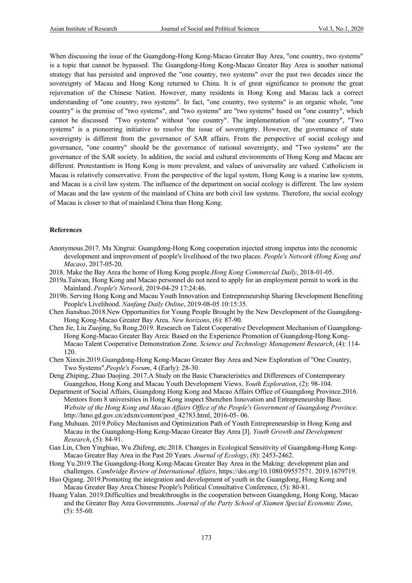When discussing the issue of the Guangdong-Hong Kong-Macao Greater Bay Area, "one country, two systems" is a topic that cannot be bypassed. The Guangdong-Hong Kong-Macao Greater Bay Area is another national strategy that has persisted and improved the "one country, two systems" over the past two decades since the sovereignty of Macau and Hong Kong returned to China. It is of great significance to promote the great rejuvenation of the Chinese Nation. However, many residents in Hong Kong and Macau lack a correct understanding of "one country, two systems". In fact, "one country, two systems" is an organic whole, "one country" is the premise of "two systems", and "two systems" are "two systems" based on "one country", which cannot be discussed "Two systems" without "one country". The implementation of "one country", "Two systems" is a pioneering initiative to resolve the issue of sovereignty. However, the governance of state sovereignty is different from the governance of SAR affairs. From the perspective of social ecology and governance, "one country" should be the governance of national sovereignty, and "Two systems" are the governance of the SAR society. In addition, the social and cultural environments of Hong Kong and Macau are different. Protestantism in Hong Kong is more prevalent, and values of universality are valued. Catholicism in Macau is relatively conservative. From the perspective of the legal system, Hong Kong is a marine law system, and Macau is a civil law system. The influence of the department on social ecology is different. The law system of Macau and the law system of the mainland of China are both civil law systems. Therefore, the social ecology of Macau is closer to that of mainland China than Hong Kong.

#### **References**

- Anonymous.2017. Ma Xingrui: Guangdong-Hong Kong cooperation injected strong impetus into the economic development and improvement of people's livelihood of the two places. *People's Network (Hong Kong and Macao)*, 2017-05-20.
- 2018. Make the Bay Area the home of Hong Kong people.*Hong Kong Commercial Daily*, 2018-01-05.
- 2019a.Taiwan, Hong Kong and Macao personnel do not need to apply for an employment permit to work in the Mainland. *People's Network*, 2019-04-29 17:24:46.
- 2019b. Serving Hong Kong and Macau Youth Innovation and Entrepreneurship Sharing Development Benefiting People's Livelihood. *Nanfang Daily Online*, 2019-08-05 10:15:35.
- Chen Jianshuo.2018.New Opportunities for Young People Brought by the New Development of the Guangdong-Hong Kong-Macao Greater Bay Area. *New horizons*, (6): 87-90.
- Chen Jie, Liu Zuojing, Su Rong.2019. Research on Talent Cooperative Development Mechanism of Guangdong-Hong Kong-Macao Greater Bay Area: Based on the Experience Promotion of Guangdong-Hong Kong-Macao Talent Cooperative Demonstration Zone. *Science and Technology Management Research*, (4): 114- 120.
- Chen Xinxin.2019.Guangdong-Hong Kong-Macao Greater Bay Area and New Exploration of "One Country, Two Systems".*People's Forum*, 4 (Early): 28-30.
- Deng Zhiping, Zhao Daojing. 2017.A Study on the Basic Characteristics and Differences of Contemporary Guangzhou, Hong Kong and Macau Youth Development Views. *Youth Exploration*, (2): 98-104.
- Department of Social Affairs, Guangdong Hong Kong and Macao Affairs Office of Guangdong Province.2016. Mentors from 8 universities in Hong Kong inspect Shenzhen Innovation and Entrepreneurship Base. *Website of the Hong Kong and Macao Affairs Office of the People's Government of Guangdong Province*. http://hmo.gd.gov.cn/zdxm/content/post\_42783.html, 2016-05- 06.
- Fang Muhuan. 2019.Policy Mechanism and Optimization Path of Youth Entrepreneurship in Hong Kong and Macau in the Guangdong-Hong Kong-Macao Greater Bay Area [J]. *Youth Growth and Development Research*, (5): 84-91.
- Gan Lin, Chen Yingbiao, Wu Zhifeng, etc.2018. Changes in Ecological Sensitivity of Guangdong-Hong Kong-Macao Greater Bay Area in the Past 20 Years. *Journal of Ecology*, (8): 2453-2462.
- Hong Yu.2019.The Guangdong-Hong Kong-Macau Greater Bay Area in the Making: development plan and challenges. *Cambridge Review of International Affairs*, https://doi.org/10.1080/09557571. 2019.1679719.
- Huo Qigang. 2019.Promoting the integration and development of youth in the Guangdong, Hong Kong and Macau Greater Bay Area.Chinese People's Political Consultative Conference, (5): 80-81.
- Huang Yalan. 2019.Difficulties and breakthroughs in the cooperation between Guangdong, Hong Kong, Macao and the Greater Bay Area Governments. *Journal of the Party School of Xiamen Special Economic Zone*, (5): 55-60.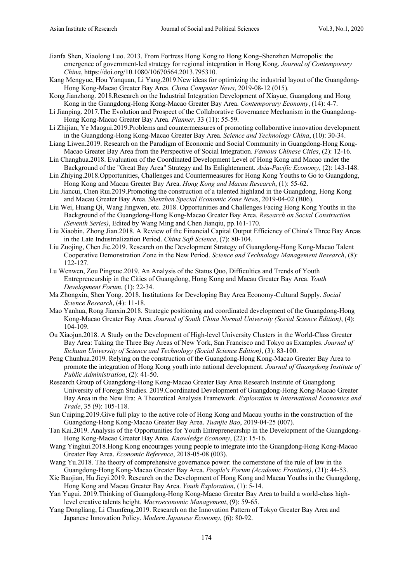Jianfa Shen, Xiaolong Luo. 2013. From Fortress Hong Kong to Hong Kong–Shenzhen Metropolis: the emergence of government-led strategy for regional integration in Hong Kong. *Journal of Contemporary China*, https://doi.org/10.1080/10670564.2013.795310.

- Kang Mengyue, Hou Yanquan, Li Yang.2019.New ideas for optimizing the industrial layout of the Guangdong-Hong Kong-Macao Greater Bay Area. *China Computer News*, 2019-08-12 (015).
- Kong Jianzhong. 2018.Research on the Industrial Integration Development of Xiayue, Guangdong and Hong Kong in the Guangdong-Hong Kong-Macao Greater Bay Area. *Contemporary Economy*, (14): 4-7.
- Li Jianping. 2017.The Evolution and Prospect of the Collaborative Governance Mechanism in the Guangdong-Hong Kong-Macao Greater Bay Area. *Planner,* 33 (11): 55-59.
- Li Zhijian, Ye Maogui.2019.Problems and countermeasures of promoting collaborative innovation development in the Guangdong-Hong Kong-Macao Greater Bay Area. *Science and Technology China*, (10): 30-34.
- Liang Liwen.2019. Research on the Paradigm of Economic and Social Community in Guangdong-Hong Kong-Macao Greater Bay Area from the Perspective of Social Integration. *Famous Chinese Cities*, (2): 12-16.
- Lin Changhua.2018. Evaluation of the Coordinated Development Level of Hong Kong and Macao under the Background of the "Great Bay Area" Strategy and Its Enlightenment. *Asia-Pacific Economy*, (2): 143-148.
- Lin Zhiying.2018.Opportunities, Challenges and Countermeasures for Hong Kong Youths to Go to Guangdong, Hong Kong and Macau Greater Bay Area. *Hong Kong and Macau Research*, (1): 55-62.
- Liu Jiancui, Chen Rui.2019.Promoting the construction of a talented highland in the Guangdong, Hong Kong and Macau Greater Bay Area. *Shenzhen Special Economic Zone News*, 2019-04-02 (B06).
- Liu Wei, Huang Qi, Wang Jingwen, etc. 2018. Opportunities and Challenges Facing Hong Kong Youths in the Background of the Guangdong-Hong Kong-Macao Greater Bay Area. *Research on Social Construction (Seventh Series)*, Edited by Wang Ming and Chen Jianqiu, pp.161-170.
- Liu Xiaobin, Zhong Jian.2018. A Review of the Financial Capital Output Efficiency of China's Three Bay Areas in the Late Industrialization Period. *China Soft Science*, (7): 80-104.
- Liu Zuojing, Chen Jie.2019. Research on the Development Strategy of Guangdong-Hong Kong-Macao Talent Cooperative Demonstration Zone in the New Period. *Science and Technology Management Research*, (8): 122-127.
- Lu Wenwen, Zou Pingxue.2019. An Analysis of the Status Quo, Difficulties and Trends of Youth Entrepreneurship in the Cities of Guangdong, Hong Kong and Macau Greater Bay Area. *Youth Development Forum*, (1): 22-34.
- Ma Zhongxin, Shen Yong. 2018. Institutions for Developing Bay Area Economy-Cultural Supply. *Social Science Research*, (4): 11-18.
- Mao Yanhua, Rong Jianxin.2018. Strategic positioning and coordinated development of the Guangdong-Hong Kong-Macao Greater Bay Area. *Journal of South China Normal University (Social Science Edition)*, (4): 104-109.
- Ou Xiaojun.2018. A Study on the Development of High-level University Clusters in the World-Class Greater Bay Area: Taking the Three Bay Areas of New York, San Francisco and Tokyo as Examples. *Journal of Sichuan University of Science and Technology (Social Science Edition)*, (3): 83-100.
- Peng Chunhua.2019. Relying on the construction of the Guangdong-Hong Kong-Macao Greater Bay Area to promote the integration of Hong Kong youth into national development. *Journal of Guangdong Institute of Public Administration*, (2): 41-50.
- Research Group of Guangdong-Hong Kong-Macao Greater Bay Area Research Institute of Guangdong University of Foreign Studies. 2019.Coordinated Development of Guangdong-Hong Kong-Macao Greater Bay Area in the New Era: A Theoretical Analysis Framework. *Exploration in International Economics and Trade*, 35 (9): 105-118.
- Sun Cuiping.2019.Give full play to the active role of Hong Kong and Macau youths in the construction of the Guangdong-Hong Kong-Macao Greater Bay Area. *Tuanjie Bao*, 2019-04-25 (007).
- Tan Kai.2019. Analysis of the Opportunities for Youth Entrepreneurship in the Development of the Guangdong-Hong Kong-Macao Greater Bay Area. *Knowledge Economy*, (22): 15-16.
- Wang Yinghui.2018.Hong Kong encourages young people to integrate into the Guangdong-Hong Kong-Macao Greater Bay Area. *Economic Reference*, 2018-05-08 (003).
- Wang Yu.2018. The theory of comprehensive governance power: the cornerstone of the rule of law in the Guangdong-Hong Kong-Macao Greater Bay Area. *People's Forum (Academic Frontiers)*, (21): 44-53.
- Xie Baojian, Hu Jieyi.2019. Research on the Development of Hong Kong and Macau Youths in the Guangdong, Hong Kong and Macau Greater Bay Area. *Youth Exploration*, (1): 5-14.
- Yan Yugui. 2019.Thinking of Guangdong-Hong Kong-Macao Greater Bay Area to build a world-class highlevel creative talents height. *Macroeconomic Management*, (9): 59-65.
- Yang Dongliang, Li Chunfeng.2019. Research on the Innovation Pattern of Tokyo Greater Bay Area and Japanese Innovation Policy. *Modern Japanese Economy*, (6): 80-92.